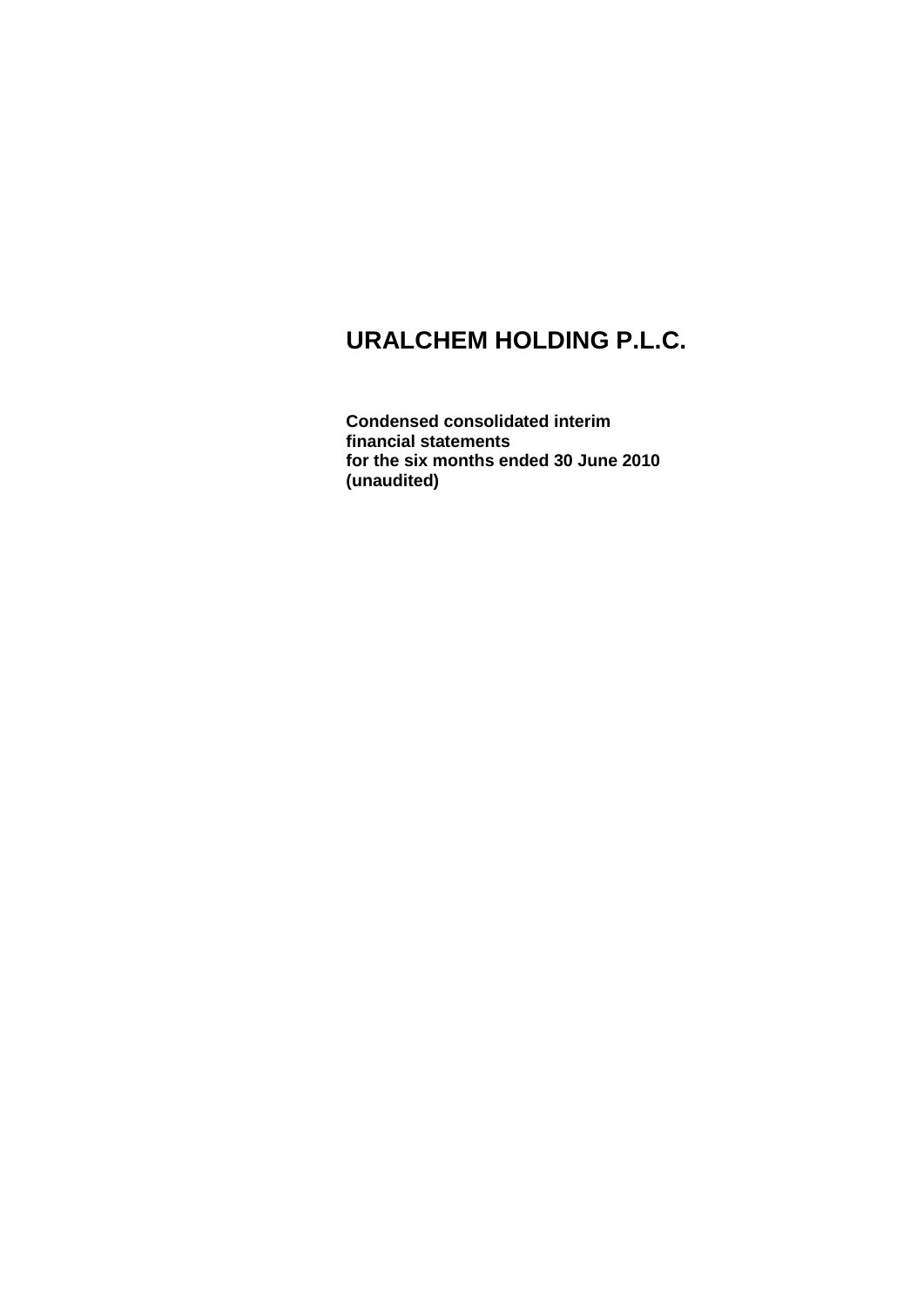**Condensed consolidated interim financial statements for the six months ended 30 June 2010 (unaudited)**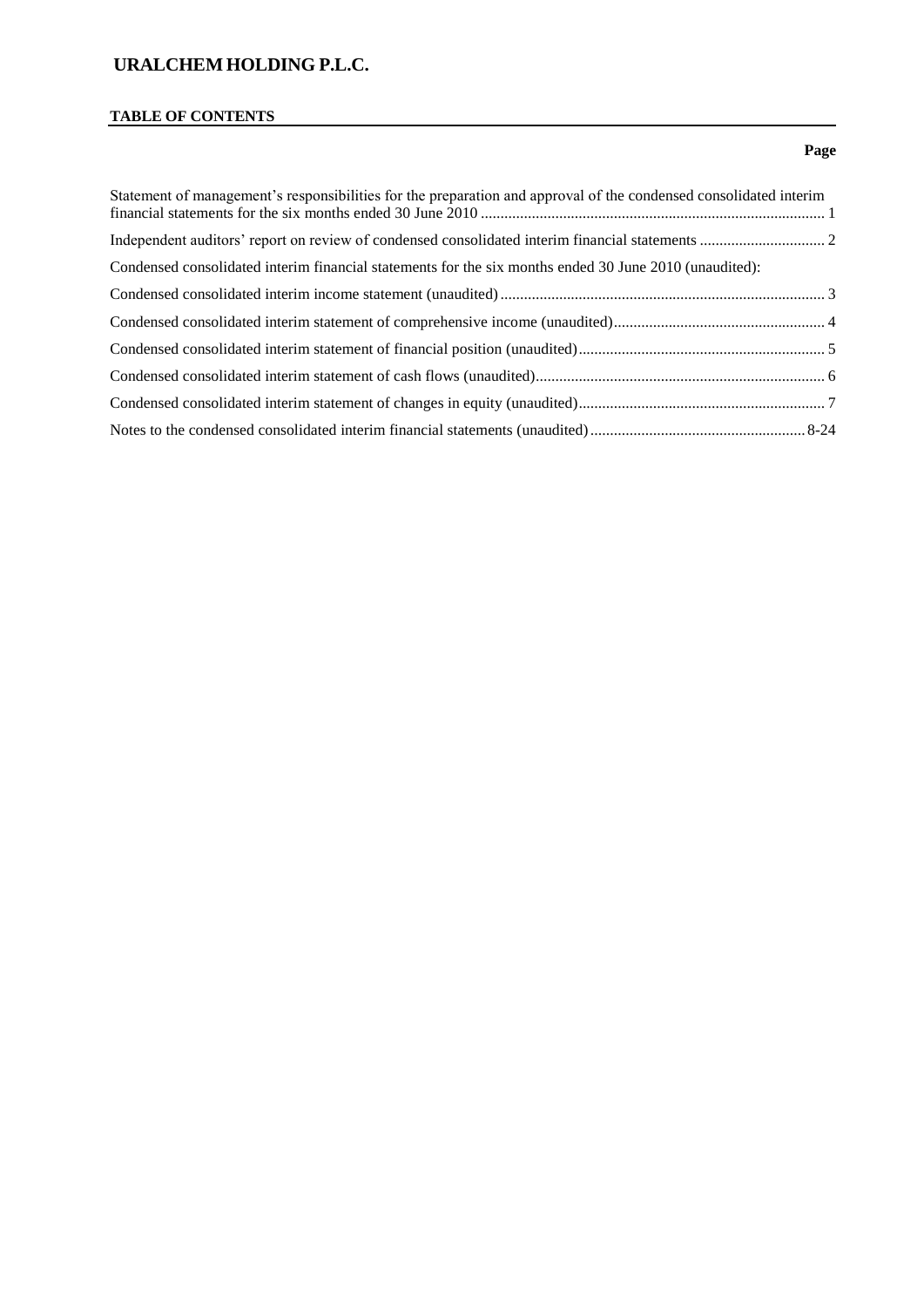# **TABLE OF CONTENTS**

### **Page**

| Statement of management's responsibilities for the preparation and approval of the condensed consolidated interim |  |
|-------------------------------------------------------------------------------------------------------------------|--|
|                                                                                                                   |  |
| Condensed consolidated interim financial statements for the six months ended 30 June 2010 (unaudited):            |  |
|                                                                                                                   |  |
|                                                                                                                   |  |
|                                                                                                                   |  |
|                                                                                                                   |  |
|                                                                                                                   |  |
|                                                                                                                   |  |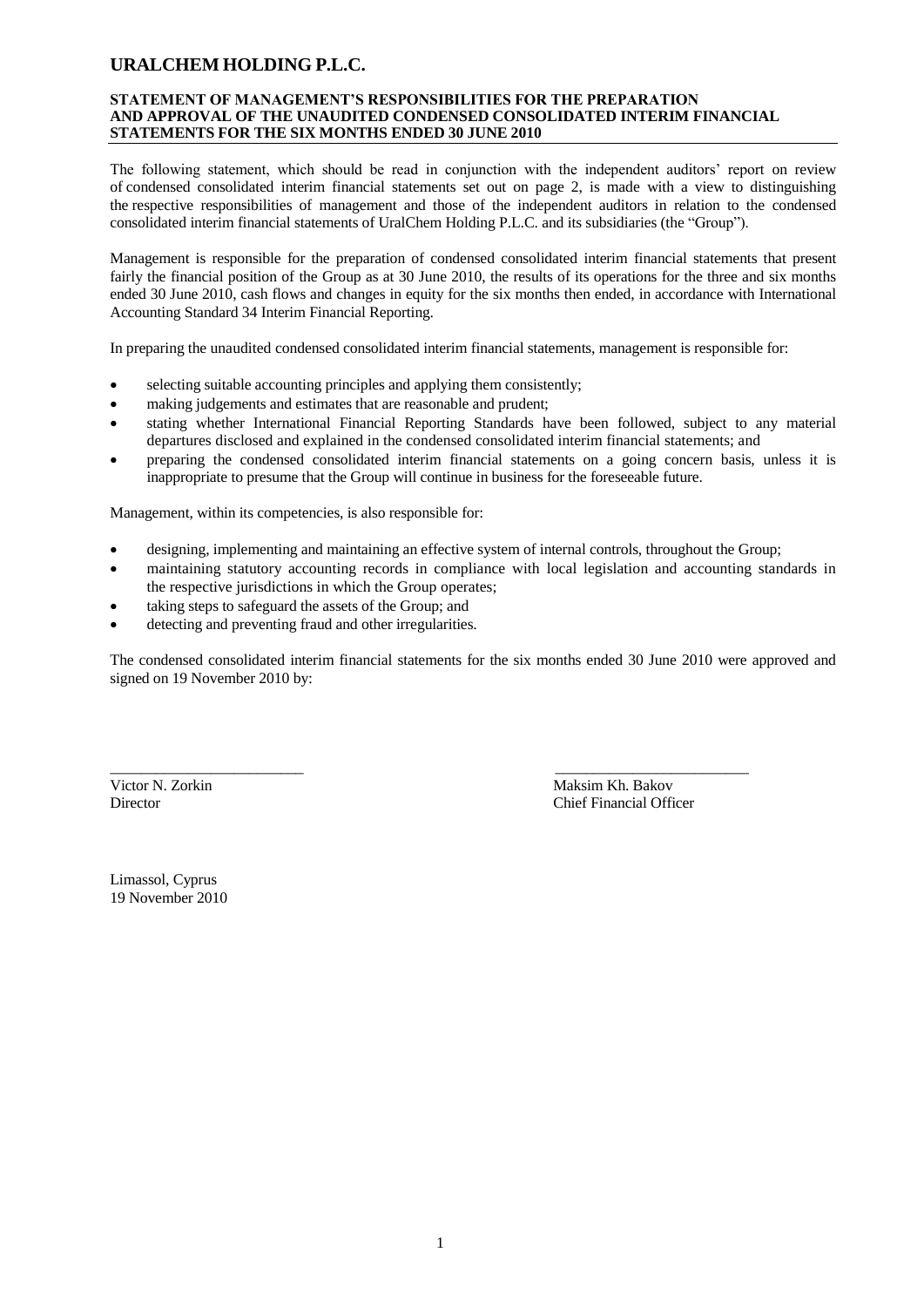#### **STATEMENT OF MANAGEMENT'S RESPONSIBILITIES FOR THE PREPARATION AND APPROVAL OF THE UNAUDITED CONDENSED CONSOLIDATED INTERIM FINANCIAL STATEMENTS FOR THE SIX MONTHS ENDED 30 JUNE 2010**

The following statement, which should be read in conjunction with the independent auditors' report on review of condensed consolidated interim financial statements set out on page 2, is made with a view to distinguishing the respective responsibilities of management and those of the independent auditors in relation to the condensed consolidated interim financial statements of UralChem Holding P.L.C. and its subsidiaries (the "Group").

Management is responsible for the preparation of condensed consolidated interim financial statements that present fairly the financial position of the Group as at 30 June 2010, the results of its operations for the three and six months ended 30 June 2010, cash flows and changes in equity for the six months then ended, in accordance with International Accounting Standard 34 Interim Financial Reporting.

In preparing the unaudited condensed consolidated interim financial statements, management is responsible for:

- selecting suitable accounting principles and applying them consistently;
- making judgements and estimates that are reasonable and prudent;
- stating whether International Financial Reporting Standards have been followed, subject to any material departures disclosed and explained in the condensed consolidated interim financial statements; and
- preparing the condensed consolidated interim financial statements on a going concern basis, unless it is inappropriate to presume that the Group will continue in business for the foreseeable future.

Management, within its competencies, is also responsible for:

designing, implementing and maintaining an effective system of internal controls, throughout the Group;

\_\_\_\_\_\_\_\_\_\_\_\_\_\_\_\_\_\_\_\_\_\_\_\_\_ \_\_\_\_\_\_\_\_\_\_\_\_\_\_\_\_\_\_\_\_\_\_\_\_\_

- maintaining statutory accounting records in compliance with local legislation and accounting standards in the respective jurisdictions in which the Group operates;
- taking steps to safeguard the assets of the Group; and
- detecting and preventing fraud and other irregularities.

The condensed consolidated interim financial statements for the six months ended 30 June 2010 were approved and signed on 19 November 2010 by:

Victor N. Zorkin Maksim Kh. Bakov Director Chief Financial Officer

Limassol, Cyprus 19 November 2010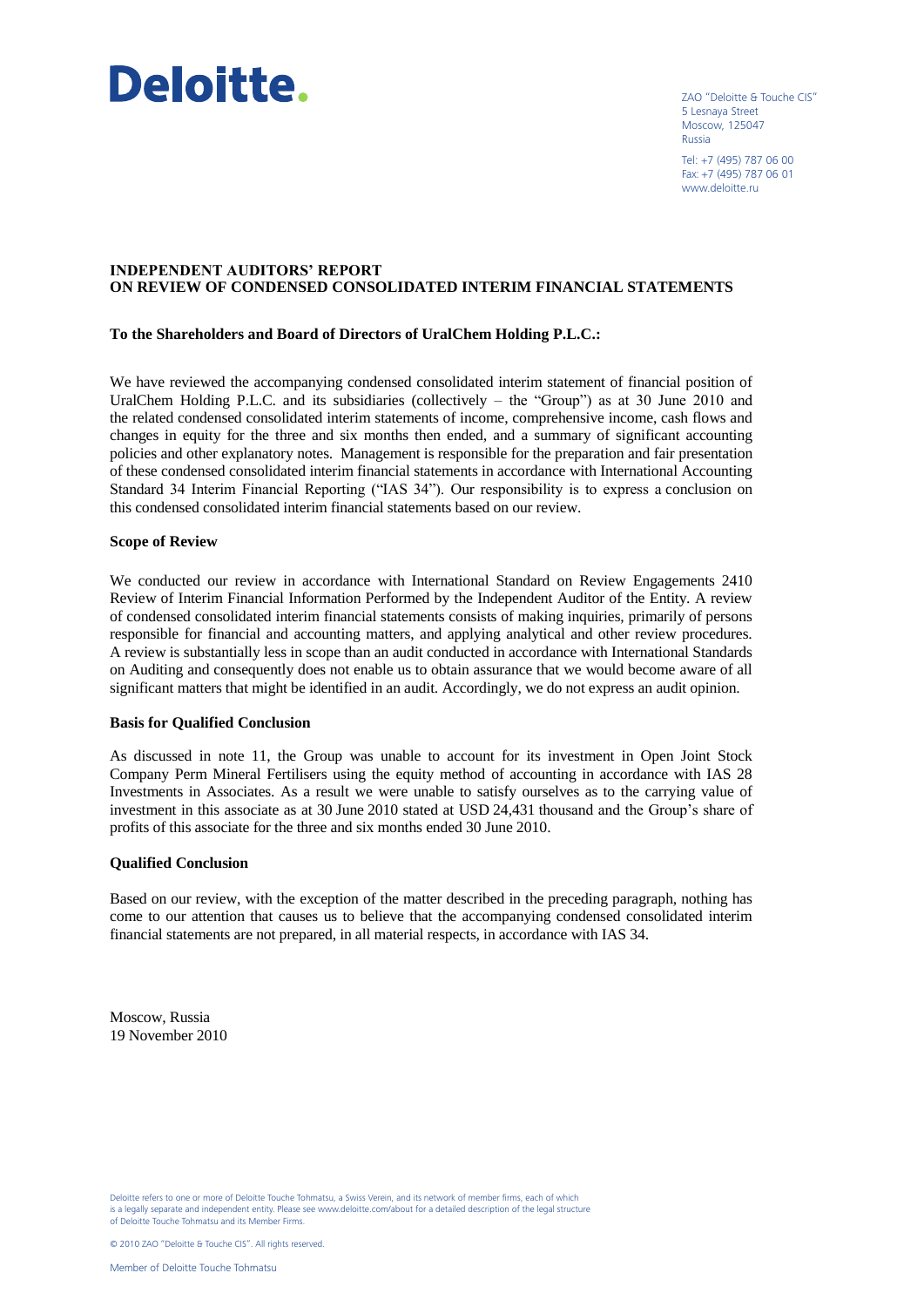

ZAO "Deloitte & Touche CIS" 5 Lesnaya Street Moscow, 125047 Russia

Tel: +7 (495) 787 06 00 Fax: +7 (495) 787 06 01 www.deloitte.ru

#### **INDEPENDENT AUDITORS' REPORT ON REVIEW OF CONDENSED CONSOLIDATED INTERIM FINANCIAL STATEMENTS**

#### **To the Shareholders and Board of Directors of UralChem Holding P.L.C.:**

We have reviewed the accompanying condensed consolidated interim statement of financial position of UralChem Holding P.L.C. and its subsidiaries (collectively – the "Group") as at 30 June 2010 and the related condensed consolidated interim statements of income, comprehensive income, cash flows and changes in equity for the three and six months then ended, and a summary of significant accounting policies and other explanatory notes. Management is responsible for the preparation and fair presentation of these condensed consolidated interim financial statements in accordance with International Accounting Standard 34 Interim Financial Reporting ("IAS 34"). Our responsibility is to express a conclusion on this condensed consolidated interim financial statements based on our review.

#### **Scope of Review**

We conducted our review in accordance with International Standard on Review Engagements 2410 Review of Interim Financial Information Performed by the Independent Auditor of the Entity. A review of condensed consolidated interim financial statements consists of making inquiries, primarily of persons responsible for financial and accounting matters, and applying analytical and other review procedures. A review is substantially less in scope than an audit conducted in accordance with International Standards on Auditing and consequently does not enable us to obtain assurance that we would become aware of all significant matters that might be identified in an audit. Accordingly, we do not express an audit opinion.

#### **Basis for Qualified Conclusion**

As discussed in note 11, the Group was unable to account for its investment in Open Joint Stock Company Perm Mineral Fertilisers using the equity method of accounting in accordance with IAS 28 Investments in Associates. As a result we were unable to satisfy ourselves as to the carrying value of investment in this associate as at 30 June 2010 stated at USD 24,431 thousand and the Group's share of profits of this associate for the three and six months ended 30 June 2010.

#### **Qualified Conclusion**

Based on our review, with the exception of the matter described in the preceding paragraph, nothing has come to our attention that causes us to believe that the accompanying condensed consolidated interim financial statements are not prepared, in all material respects, in accordance with IAS 34.

Moscow, Russia 19 November 2010

Deloitte refers to one or more of Deloitte Touche Tohmatsu, a Swiss Verein, and its network of member firms, each of which is a legally separate and independent entity. Please see www.deloitte.com/about for a detailed description of the legal structure of Deloitte Touche Tohmatsu and its Member Firms.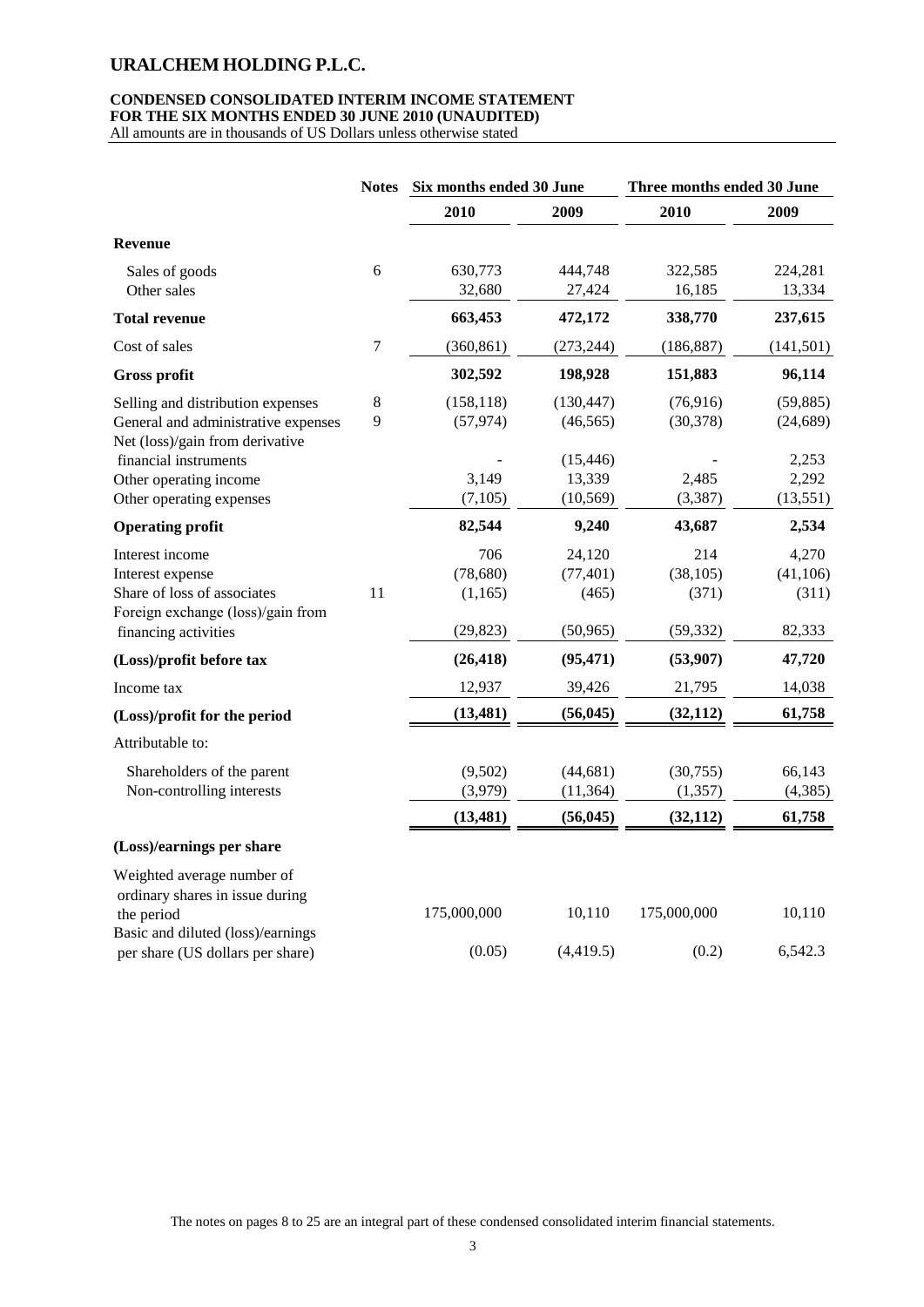### **CONDENSED CONSOLIDATED INTERIM INCOME STATEMENT FOR THE SIX MONTHS ENDED 30 JUNE 2010 (UNAUDITED)**

All amounts are in thousands of US Dollars unless otherwise stated

|                                                                        | <b>Notes</b> | Six months ended 30 June |            | Three months ended 30 June |            |
|------------------------------------------------------------------------|--------------|--------------------------|------------|----------------------------|------------|
|                                                                        |              | 2010                     | 2009       | 2010                       | 2009       |
| <b>Revenue</b>                                                         |              |                          |            |                            |            |
| Sales of goods                                                         | 6            | 630,773                  | 444,748    | 322,585                    | 224,281    |
| Other sales                                                            |              | 32,680                   | 27,424     | 16,185                     | 13,334     |
| <b>Total revenue</b>                                                   |              | 663,453                  | 472,172    | 338,770                    | 237,615    |
| Cost of sales                                                          | 7            | (360, 861)               | (273, 244) | (186, 887)                 | (141, 501) |
| <b>Gross profit</b>                                                    |              | 302,592                  | 198,928    | 151,883                    | 96,114     |
| Selling and distribution expenses                                      | 8            | (158, 118)               | (130, 447) | (76, 916)                  | (59, 885)  |
| General and administrative expenses<br>Net (loss)/gain from derivative | 9            | (57, 974)                | (46, 565)  | (30, 378)                  | (24, 689)  |
| financial instruments                                                  |              |                          | (15, 446)  |                            | 2,253      |
| Other operating income                                                 |              | 3,149                    | 13,339     | 2,485                      | 2,292      |
| Other operating expenses                                               |              | (7, 105)                 | (10, 569)  | (3, 387)                   | (13, 551)  |
| <b>Operating profit</b>                                                |              | 82,544                   | 9,240      | 43,687                     | 2,534      |
| Interest income                                                        |              | 706                      | 24,120     | 214                        | 4,270      |
| Interest expense                                                       |              | (78, 680)                | (77, 401)  | (38, 105)                  | (41, 106)  |
| Share of loss of associates                                            | 11           | (1, 165)                 | (465)      | (371)                      | (311)      |
| Foreign exchange (loss)/gain from<br>financing activities              |              | (29, 823)                | (50, 965)  | (59, 332)                  | 82,333     |
| (Loss)/profit before tax                                               |              | (26, 418)                | (95, 471)  | (53,907)                   | 47,720     |
| Income tax                                                             |              | 12,937                   | 39,426     | 21,795                     | 14,038     |
| (Loss)/profit for the period                                           |              | (13, 481)                | (56, 045)  | (32, 112)                  | 61,758     |
| Attributable to:                                                       |              |                          |            |                            |            |
| Shareholders of the parent                                             |              | (9,502)                  | (44, 681)  | (30,755)                   | 66,143     |
| Non-controlling interests                                              |              | (3,979)                  | (11, 364)  | (1, 357)                   | (4,385)    |
|                                                                        |              | (13, 481)                | (56, 045)  | (32, 112)                  | 61,758     |
| (Loss)/earnings per share                                              |              |                          |            |                            |            |
| Weighted average number of                                             |              |                          |            |                            |            |
| ordinary shares in issue during                                        |              |                          |            |                            |            |
| the period                                                             |              | 175,000,000              | 10,110     | 175,000,000                | 10,110     |
| Basic and diluted (loss)/earnings                                      |              |                          |            |                            |            |
| per share (US dollars per share)                                       |              | (0.05)                   | (4,419.5)  | (0.2)                      | 6,542.3    |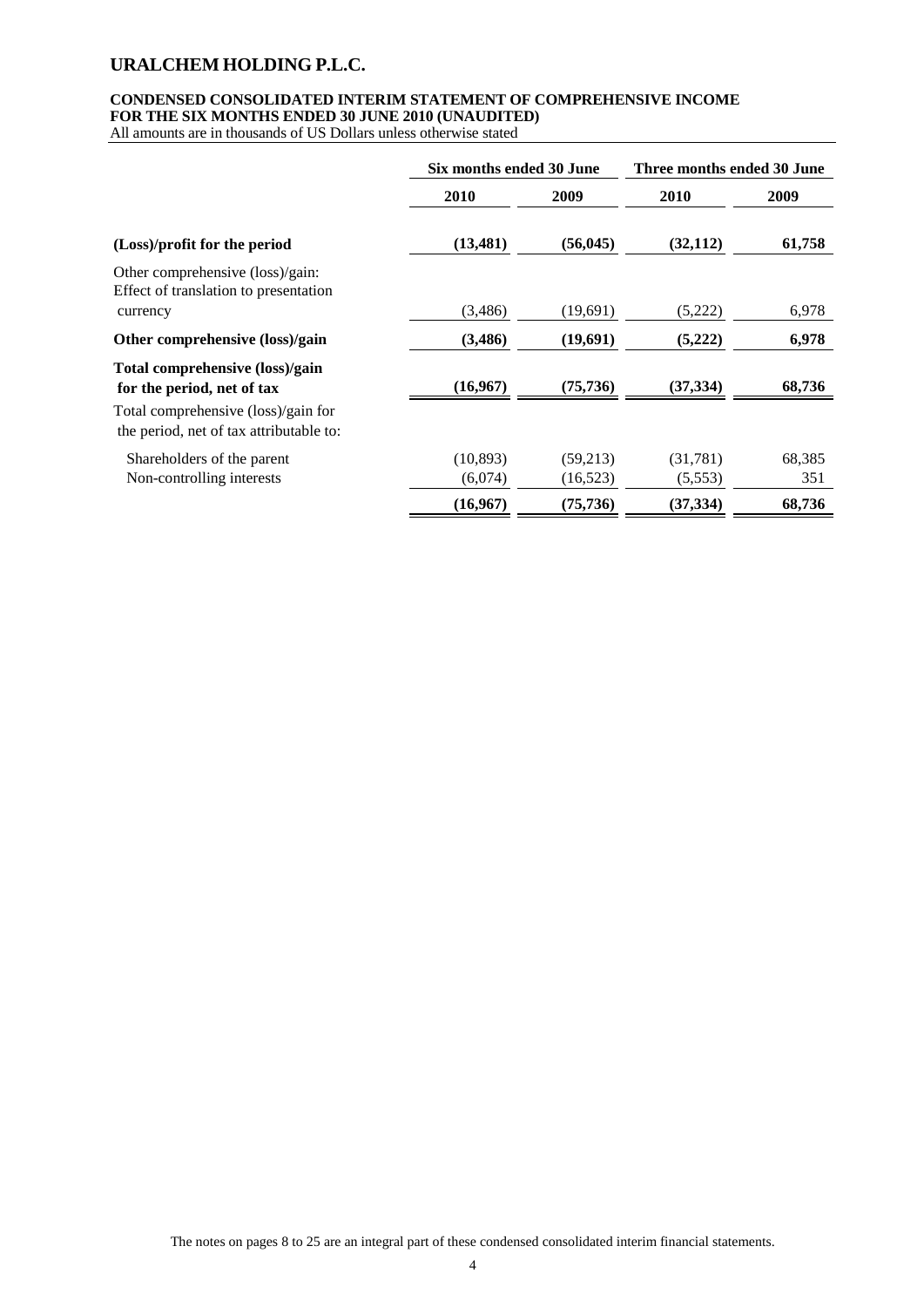### **CONDENSED CONSOLIDATED INTERIM STATEMENT OF COMPREHENSIVE INCOME FOR THE SIX MONTHS ENDED 30 JUNE 2010 (UNAUDITED)**

All amounts are in thousands of US Dollars unless otherwise stated

|                                                                                | Six months ended 30 June |           | Three months ended 30 June |        |
|--------------------------------------------------------------------------------|--------------------------|-----------|----------------------------|--------|
|                                                                                | 2010                     | 2009      | 2010                       | 2009   |
| (Loss)/profit for the period                                                   | (13, 481)                | (56, 045) | (32, 112)                  | 61,758 |
| Other comprehensive (loss)/gain:<br>Effect of translation to presentation      |                          |           |                            |        |
| currency                                                                       | (3,486)                  | (19,691)  | (5,222)                    | 6,978  |
| Other comprehensive (loss)/gain                                                | (3,486)                  | (19,691)  | (5,222)                    | 6,978  |
| Total comprehensive (loss)/gain<br>for the period, net of tax                  | (16,967)                 | (75, 736) | (37, 334)                  | 68,736 |
| Total comprehensive (loss)/gain for<br>the period, net of tax attributable to: |                          |           |                            |        |
| Shareholders of the parent                                                     | (10, 893)                | (59,213)  | (31,781)                   | 68,385 |
| Non-controlling interests                                                      | (6,074)                  | (16, 523) | (5,553)                    | 351    |
|                                                                                | (16,967)                 | (75, 736) | (37, 334)                  | 68,736 |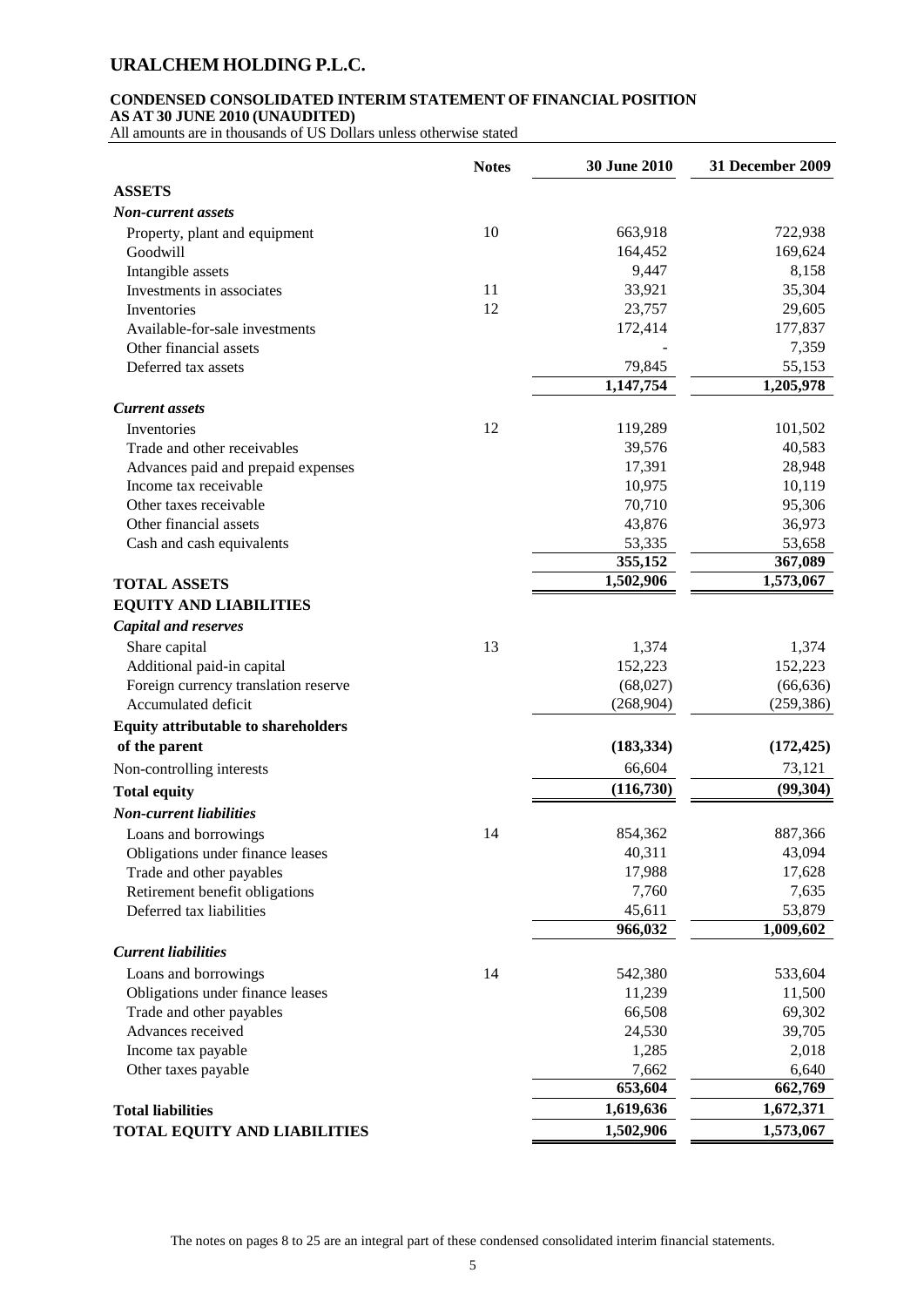# **CONDENSED CONSOLIDATED INTERIM STATEMENT OF FINANCIAL POSITION**

**AS AT 30 JUNE 2010 (UNAUDITED)**

All amounts are in thousands of US Dollars unless otherwise stated

|                                            | <b>Notes</b> | 30 June 2010 | 31 December 2009       |
|--------------------------------------------|--------------|--------------|------------------------|
| <b>ASSETS</b>                              |              |              |                        |
| Non-current assets                         |              |              |                        |
| Property, plant and equipment              | 10           | 663,918      | 722,938                |
| Goodwill                                   |              | 164,452      | 169,624                |
| Intangible assets                          |              | 9,447        | 8,158                  |
| Investments in associates                  | 11           | 33,921       | 35,304                 |
| Inventories                                | 12           | 23,757       | 29,605                 |
| Available-for-sale investments             |              | 172,414      | 177,837                |
| Other financial assets                     |              |              | 7,359                  |
| Deferred tax assets                        |              | 79,845       | 55,153                 |
|                                            |              | 1,147,754    | 1,205,978              |
| <b>Current</b> assets                      |              |              |                        |
| Inventories                                | 12           | 119,289      | 101,502                |
| Trade and other receivables                |              | 39,576       | 40,583                 |
| Advances paid and prepaid expenses         |              | 17,391       | 28,948                 |
| Income tax receivable                      |              | 10,975       | 10,119                 |
| Other taxes receivable                     |              | 70,710       | 95,306                 |
| Other financial assets                     |              | 43,876       | 36,973                 |
| Cash and cash equivalents                  |              | 53,335       | 53,658                 |
|                                            |              | 355,152      | 367,089                |
| <b>TOTAL ASSETS</b>                        |              | 1,502,906    | 1,573,067              |
| <b>EQUITY AND LIABILITIES</b>              |              |              |                        |
| <b>Capital and reserves</b>                |              |              |                        |
| Share capital                              | 13           | 1,374        | 1,374                  |
| Additional paid-in capital                 |              | 152,223      | 152,223                |
| Foreign currency translation reserve       |              | (68,027)     | (66, 636)              |
| Accumulated deficit                        |              | (268, 904)   | (259, 386)             |
| <b>Equity attributable to shareholders</b> |              |              |                        |
| of the parent                              |              | (183, 334)   | (172, 425)             |
| Non-controlling interests                  |              | 66,604       | 73,121                 |
| <b>Total equity</b>                        |              | (116,730)    | (99, 304)              |
| <b>Non-current liabilities</b>             |              |              |                        |
| Loans and borrowings                       | 14           | 854,362      | 887,366                |
| Obligations under finance leases           |              | 40,311       | 43,094                 |
| Trade and other payables                   |              | 17,988       | 17,628                 |
| Retirement benefit obligations             |              | 7,760        | 7,635                  |
| Deferred tax liabilities                   |              | 45,611       | 53,879                 |
|                                            |              | 966,032      | $\overline{1,009,602}$ |
| <b>Current liabilities</b>                 |              |              |                        |
| Loans and borrowings                       | 14           | 542,380      | 533,604                |
| Obligations under finance leases           |              | 11,239       | 11,500                 |
| Trade and other payables                   |              | 66,508       | 69,302                 |
| Advances received                          |              | 24,530       | 39,705                 |
| Income tax payable                         |              | 1,285        | 2,018                  |
| Other taxes payable                        |              | 7,662        | 6,640                  |
|                                            |              | 653,604      | 662,769                |
| <b>Total liabilities</b>                   |              | 1,619,636    | 1,672,371              |
| <b>TOTAL EQUITY AND LIABILITIES</b>        |              | 1,502,906    | 1,573,067              |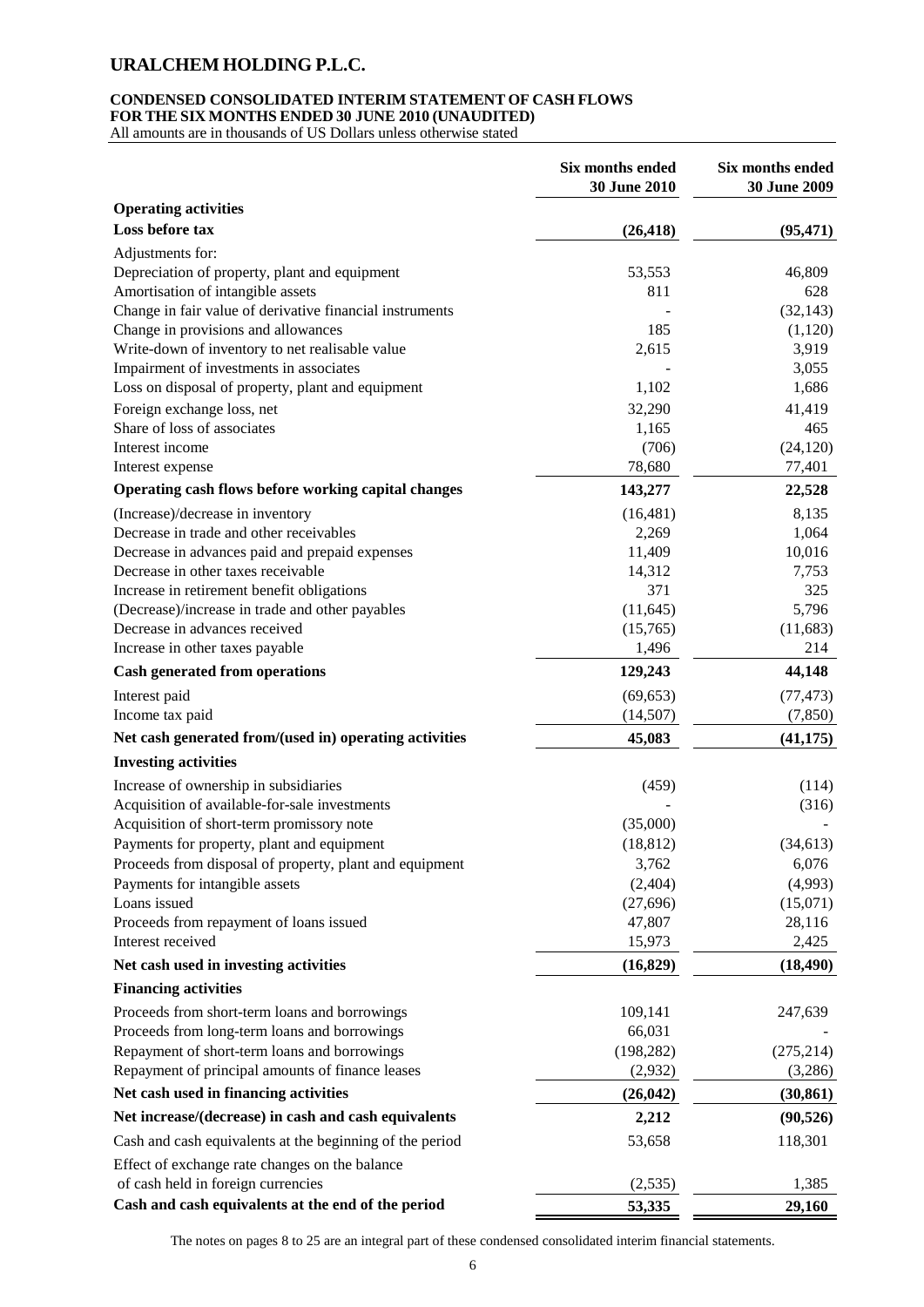#### **CONDENSED CONSOLIDATED INTERIM STATEMENT OF CASH FLOWS FOR THE SIX MONTHS ENDED 30 JUNE 2010 (UNAUDITED)**

All amounts are in thousands of US Dollars unless otherwise stated

|                                                          | Six months ended<br>30 June 2010 | Six months ended<br>30 June 2009 |
|----------------------------------------------------------|----------------------------------|----------------------------------|
| <b>Operating activities</b>                              |                                  |                                  |
| Loss before tax                                          | (26, 418)                        | (95, 471)                        |
| Adjustments for:                                         |                                  |                                  |
| Depreciation of property, plant and equipment            | 53,553                           | 46,809                           |
| Amortisation of intangible assets                        | 811                              | 628                              |
| Change in fair value of derivative financial instruments |                                  | (32, 143)                        |
| Change in provisions and allowances                      | 185                              | (1,120)                          |
| Write-down of inventory to net realisable value          | 2,615                            | 3,919                            |
| Impairment of investments in associates                  |                                  | 3,055                            |
| Loss on disposal of property, plant and equipment        | 1,102                            | 1,686                            |
| Foreign exchange loss, net                               | 32,290                           | 41,419                           |
| Share of loss of associates                              | 1,165                            | 465                              |
| Interest income                                          | (706)                            | (24, 120)                        |
| Interest expense                                         | 78,680                           | 77,401                           |
| Operating cash flows before working capital changes      | 143,277                          | 22,528                           |
| (Increase)/decrease in inventory                         | (16, 481)                        | 8,135                            |
| Decrease in trade and other receivables                  | 2,269                            | 1,064                            |
| Decrease in advances paid and prepaid expenses           | 11,409                           | 10,016                           |
| Decrease in other taxes receivable                       | 14,312                           | 7,753                            |
| Increase in retirement benefit obligations               | 371                              | 325                              |
| (Decrease)/increase in trade and other payables          | (11, 645)                        | 5,796                            |
| Decrease in advances received                            | (15,765)                         | (11,683)                         |
| Increase in other taxes payable                          | 1,496                            | 214                              |
| <b>Cash generated from operations</b>                    | 129,243                          | 44,148                           |
| Interest paid                                            | (69, 653)                        | (77, 473)                        |
| Income tax paid                                          | (14,507)                         | (7, 850)                         |
| Net cash generated from/(used in) operating activities   | 45,083                           | (41, 175)                        |
| <b>Investing activities</b>                              |                                  |                                  |
| Increase of ownership in subsidiaries                    | (459)                            | (114)                            |
| Acquisition of available-for-sale investments            |                                  | (316)                            |
| Acquisition of short-term promissory note                | (35,000)                         |                                  |
| Payments for property, plant and equipment               | (18, 812)                        | (34, 613)                        |
| Proceeds from disposal of property, plant and equipment  | 3,762                            | 6,076                            |
| Payments for intangible assets                           | (2, 404)                         | (4,993)                          |
| Loans issued                                             | (27, 696)                        | (15,071)                         |
| Proceeds from repayment of loans issued                  | 47,807                           | 28,116                           |
| Interest received                                        | 15,973                           | 2,425                            |
| Net cash used in investing activities                    | (16, 829)                        | (18, 490)                        |
| <b>Financing activities</b>                              |                                  |                                  |
| Proceeds from short-term loans and borrowings            | 109,141                          | 247,639                          |
| Proceeds from long-term loans and borrowings             | 66,031                           |                                  |
| Repayment of short-term loans and borrowings             | (198, 282)                       | (275, 214)                       |
| Repayment of principal amounts of finance leases         | (2,932)                          | (3,286)                          |
| Net cash used in financing activities                    | (26, 042)                        | (30, 861)                        |
| Net increase/(decrease) in cash and cash equivalents     | 2,212                            | (90, 526)                        |
| Cash and cash equivalents at the beginning of the period | 53,658                           | 118,301                          |
| Effect of exchange rate changes on the balance           |                                  |                                  |
| of cash held in foreign currencies                       | (2,535)                          | 1,385                            |
| Cash and cash equivalents at the end of the period       | 53,335                           | 29,160                           |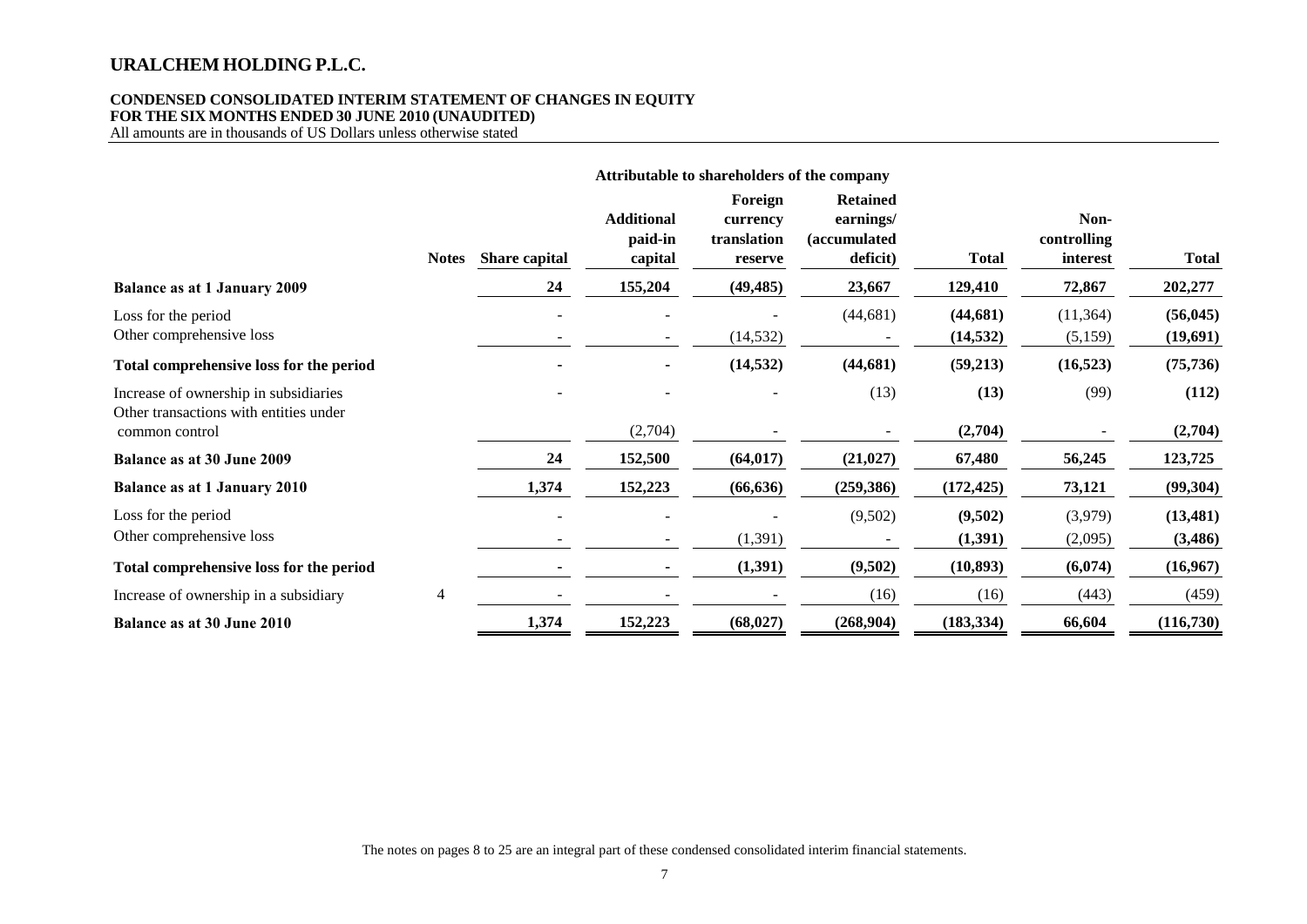### **CONDENSED CONSOLIDATED INTERIM STATEMENT OF CHANGES IN EQUITY FOR THE SIX MONTHS ENDED 30 JUNE 2010 (UNAUDITED)**

All amounts are in thousands of US Dollars unless otherwise stated

|                                                                                 |              |               |                                         | Attributable to shareholders of the company   |                                                                  |                        |                                 |                       |
|---------------------------------------------------------------------------------|--------------|---------------|-----------------------------------------|-----------------------------------------------|------------------------------------------------------------------|------------------------|---------------------------------|-----------------------|
|                                                                                 | <b>Notes</b> | Share capital | <b>Additional</b><br>paid-in<br>capital | Foreign<br>currency<br>translation<br>reserve | <b>Retained</b><br>earnings/<br><i>(accumulated)</i><br>deficit) | <b>Total</b>           | Non-<br>controlling<br>interest | <b>Total</b>          |
| <b>Balance as at 1 January 2009</b>                                             |              | 24            | 155,204                                 | (49, 485)                                     | 23,667                                                           | 129,410                | 72,867                          | 202,277               |
| Loss for the period<br>Other comprehensive loss                                 |              |               |                                         | (14, 532)                                     | (44, 681)                                                        | (44, 681)<br>(14, 532) | (11, 364)<br>(5,159)            | (56, 045)<br>(19,691) |
| Total comprehensive loss for the period                                         |              |               |                                         | (14, 532)                                     | (44, 681)                                                        | (59,213)               | (16, 523)                       | (75, 736)             |
| Increase of ownership in subsidiaries<br>Other transactions with entities under |              |               |                                         |                                               | (13)                                                             | (13)                   | (99)                            | (112)                 |
| common control                                                                  |              |               | (2,704)                                 |                                               |                                                                  | (2,704)                |                                 | (2,704)               |
| Balance as at 30 June 2009                                                      |              | 24            | 152,500                                 | (64, 017)                                     | (21, 027)                                                        | 67,480                 | 56,245                          | 123,725               |
| <b>Balance as at 1 January 2010</b>                                             |              | 1,374         | 152,223                                 | (66, 636)                                     | (259, 386)                                                       | (172, 425)             | 73,121                          | (99, 304)             |
| Loss for the period                                                             |              |               |                                         |                                               | (9,502)                                                          | (9,502)                | (3,979)                         | (13, 481)             |
| Other comprehensive loss                                                        |              |               | $\overline{\phantom{a}}$                | (1, 391)                                      |                                                                  | (1, 391)               | (2,095)                         | (3, 486)              |
| Total comprehensive loss for the period                                         |              |               |                                         | (1, 391)                                      | (9,502)                                                          | (10, 893)              | (6,074)                         | (16,967)              |
| Increase of ownership in a subsidiary                                           | 4            |               |                                         |                                               | (16)                                                             | (16)                   | (443)                           | (459)                 |
| Balance as at 30 June 2010                                                      |              | 1,374         | 152,223                                 | (68, 027)                                     | (268,904)                                                        | (183, 334)             | 66,604                          | (116,730)             |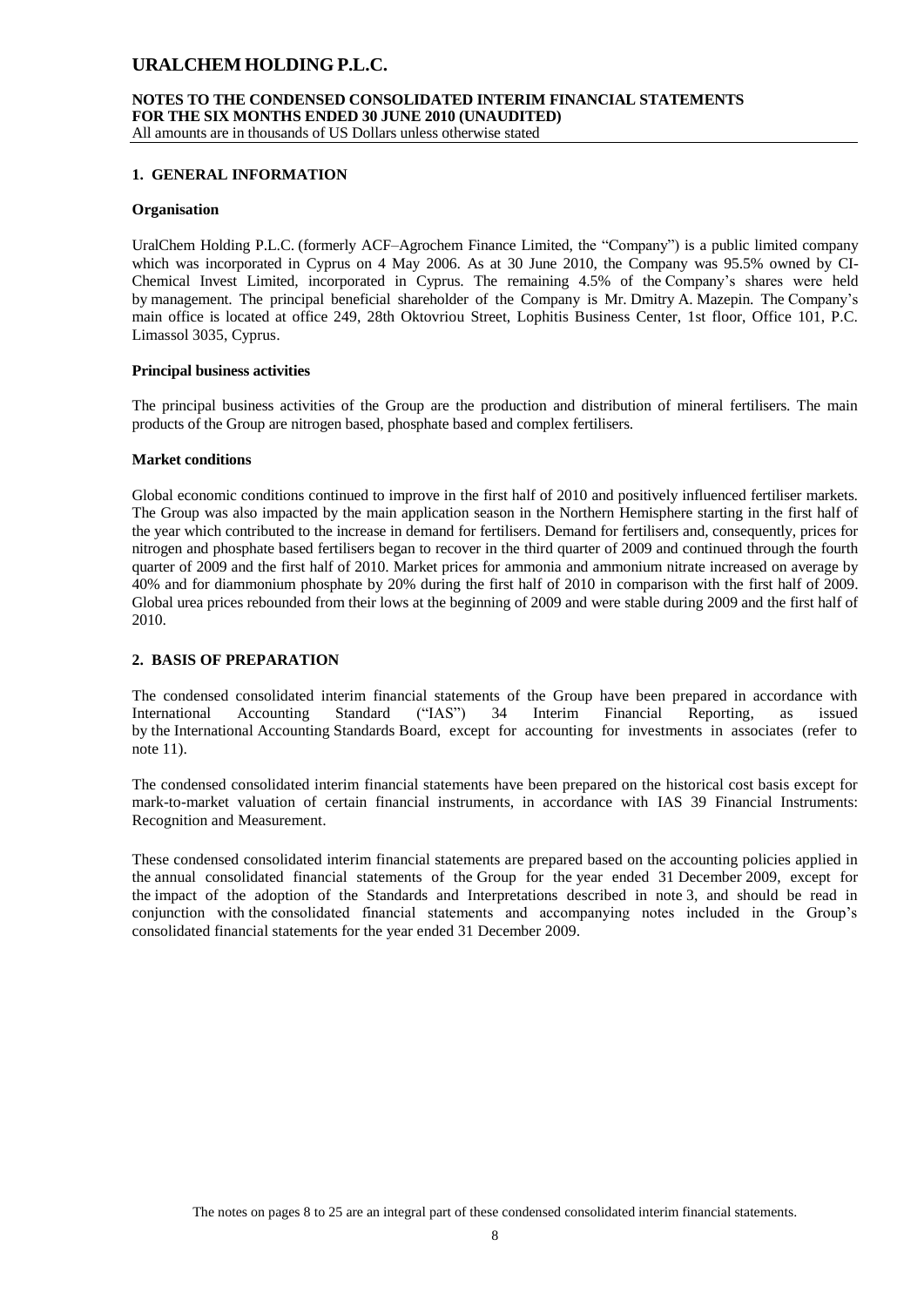# **NOTES TO THE CONDENSED CONSOLIDATED INTERIM FINANCIAL STATEMENTS FOR THE SIX MONTHS ENDED 30 JUNE 2010 (UNAUDITED)**

All amounts are in thousands of US Dollars unless otherwise stated

### **1. GENERAL INFORMATION**

#### **Organisation**

UralChem Holding P.L.C. (formerly ACF–Agrochem Finance Limited, the "Company") is a public limited company which was incorporated in Cyprus on 4 May 2006. As at 30 June 2010, the Company was 95.5% owned by CI-Chemical Invest Limited, incorporated in Cyprus. The remaining 4.5% of the Company's shares were held by management. The principal beneficial shareholder of the Company is Mr. Dmitry A. Mazepin. The Company's main office is located at office 249, 28th Oktovriou Street, Lophitis Business Center, 1st floor, Office 101, P.C. Limassol 3035, Cyprus.

#### **Principal business activities**

The principal business activities of the Group are the production and distribution of mineral fertilisers. The main products of the Group are nitrogen based, phosphate based and complex fertilisers.

#### **Market conditions**

Global economic conditions continued to improve in the first half of 2010 and positively influenced fertiliser markets. The Group was also impacted by the main application season in the Northern Hemisphere starting in the first half of the year which contributed to the increase in demand for fertilisers. Demand for fertilisers and, consequently, prices for nitrogen and phosphate based fertilisers began to recover in the third quarter of 2009 and continued through the fourth quarter of 2009 and the first half of 2010. Market prices for ammonia and ammonium nitrate increased on average by 40% and for diammonium phosphate by 20% during the first half of 2010 in comparison with the first half of 2009. Global urea prices rebounded from their lows at the beginning of 2009 and were stable during 2009 and the first half of 2010.

### **2. BASIS OF PREPARATION**

The condensed consolidated interim financial statements of the Group have been prepared in accordance with International Accounting Standard ("IAS") 34 Interim Financial Reporting, as issued by the International Accounting Standards Board, except for accounting for investments in associates (refer to note 11).

The condensed consolidated interim financial statements have been prepared on the historical cost basis except for mark-to-market valuation of certain financial instruments, in accordance with IAS 39 Financial Instruments: Recognition and Measurement.

These condensed consolidated interim financial statements are prepared based on the accounting policies applied in the annual consolidated financial statements of the Group for the year ended 31 December 2009, except for the impact of the adoption of the Standards and Interpretations described in note 3, and should be read in conjunction with the consolidated financial statements and accompanying notes included in the Group's consolidated financial statements for the year ended 31 December 2009.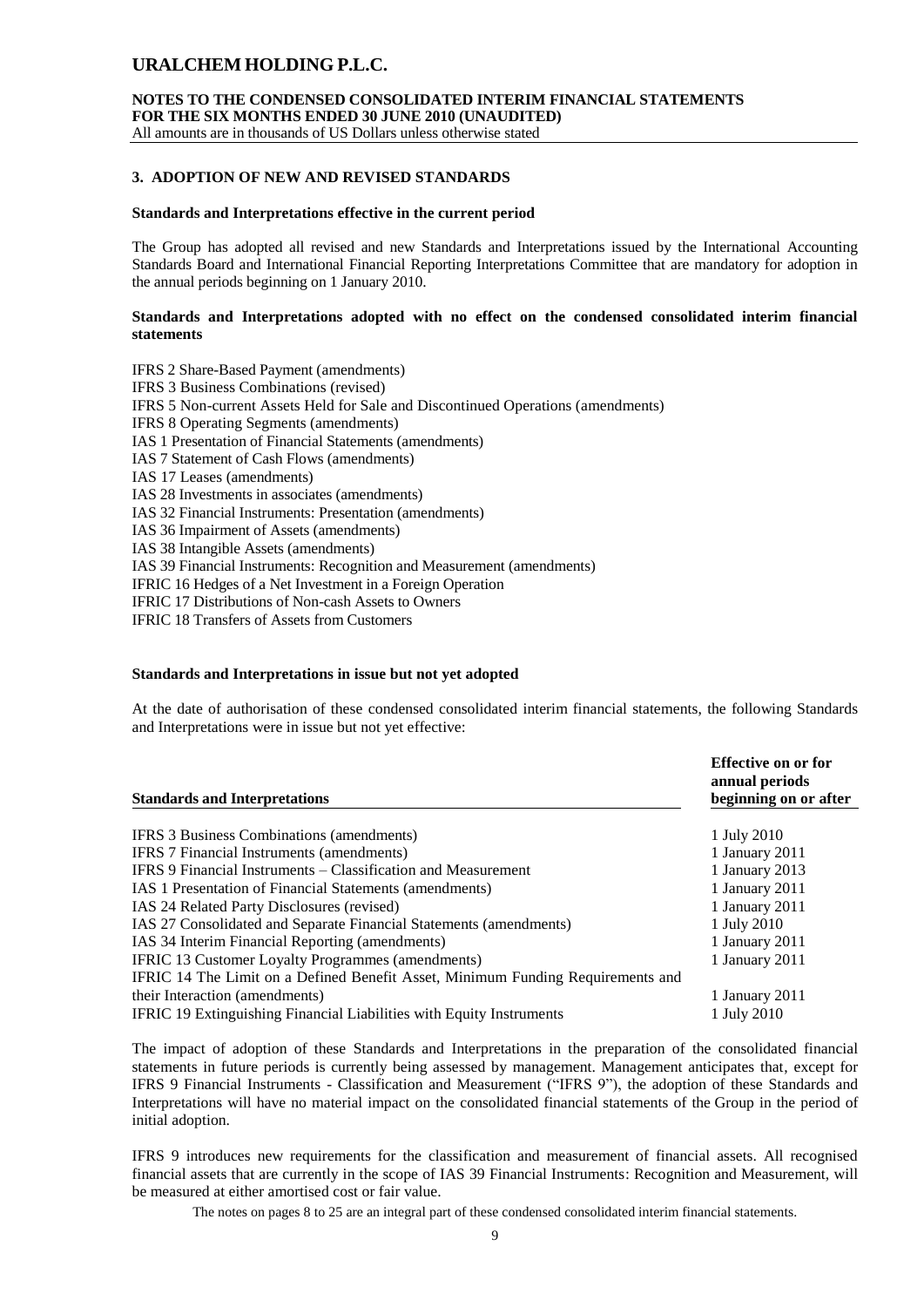**NOTES TO THE CONDENSED CONSOLIDATED INTERIM FINANCIAL STATEMENTS FOR THE SIX MONTHS ENDED 30 JUNE 2010 (UNAUDITED)**

All amounts are in thousands of US Dollars unless otherwise stated

### **3. ADOPTION OF NEW AND REVISED STANDARDS**

#### **Standards and Interpretations effective in the current period**

The Group has adopted all revised and new Standards and Interpretations issued by the International Accounting Standards Board and International Financial Reporting Interpretations Committee that are mandatory for adoption in the annual periods beginning on 1 January 2010.

### **Standards and Interpretations adopted with no effect on the condensed consolidated interim financial statements**

IFRS 2 Share-Based Payment (amendments) IFRS 3 Business Combinations (revised) IFRS 5 Non-current Assets Held for Sale and Discontinued Operations (amendments) IFRS 8 Operating Segments (amendments) IAS 1 Presentation of Financial Statements (amendments) IAS 7 Statement of Cash Flows (amendments) IAS 17 Leases (amendments) IAS 28 Investments in associates (amendments) IAS 32 Financial Instruments: Presentation (amendments) IAS 36 Impairment of Assets (amendments) IAS 38 Intangible Assets (amendments) IAS 39 Financial Instruments: Recognition and Measurement (amendments) IFRIC 16 Hedges of a Net Investment in a Foreign Operation IFRIC 17 Distributions of Non-cash Assets to Owners IFRIC 18 Transfers of Assets from Customers

#### **Standards and Interpretations in issue but not yet adopted**

At the date of authorisation of these condensed consolidated interim financial statements, the following Standards and Interpretations were in issue but not yet effective:

|                                                                                 | Effective on or for<br>annual periods |
|---------------------------------------------------------------------------------|---------------------------------------|
| <b>Standards and Interpretations</b>                                            | beginning on or after                 |
| <b>IFRS 3 Business Combinations (amendments)</b>                                | 1 July 2010                           |
| IFRS 7 Financial Instruments (amendments)                                       | 1 January 2011                        |
| IFRS 9 Financial Instruments – Classification and Measurement                   | 1 January 2013                        |
| <b>IAS 1 Presentation of Financial Statements (amendments)</b>                  | 1 January 2011                        |
| IAS 24 Related Party Disclosures (revised)                                      | 1 January 2011                        |
| IAS 27 Consolidated and Separate Financial Statements (amendments)              | 1 July 2010                           |
| IAS 34 Interim Financial Reporting (amendments)                                 | 1 January 2011                        |
| <b>IFRIC 13 Customer Loyalty Programmes (amendments)</b>                        | 1 January 2011                        |
| IFRIC 14 The Limit on a Defined Benefit Asset, Minimum Funding Requirements and |                                       |
| their Interaction (amendments)                                                  | 1 January 2011                        |
| <b>IFRIC 19 Extinguishing Financial Liabilities with Equity Instruments</b>     | 1 July 2010                           |

The impact of adoption of these Standards and Interpretations in the preparation of the consolidated financial statements in future periods is currently being assessed by management. Management anticipates that, except for IFRS 9 Financial Instruments - Classification and Measurement ("IFRS 9"), the adoption of these Standards and Interpretations will have no material impact on the consolidated financial statements of the Group in the period of initial adoption.

IFRS 9 introduces new requirements for the classification and measurement of financial assets. All recognised financial assets that are currently in the scope of IAS 39 Financial Instruments: Recognition and Measurement, will be measured at either amortised cost or fair value.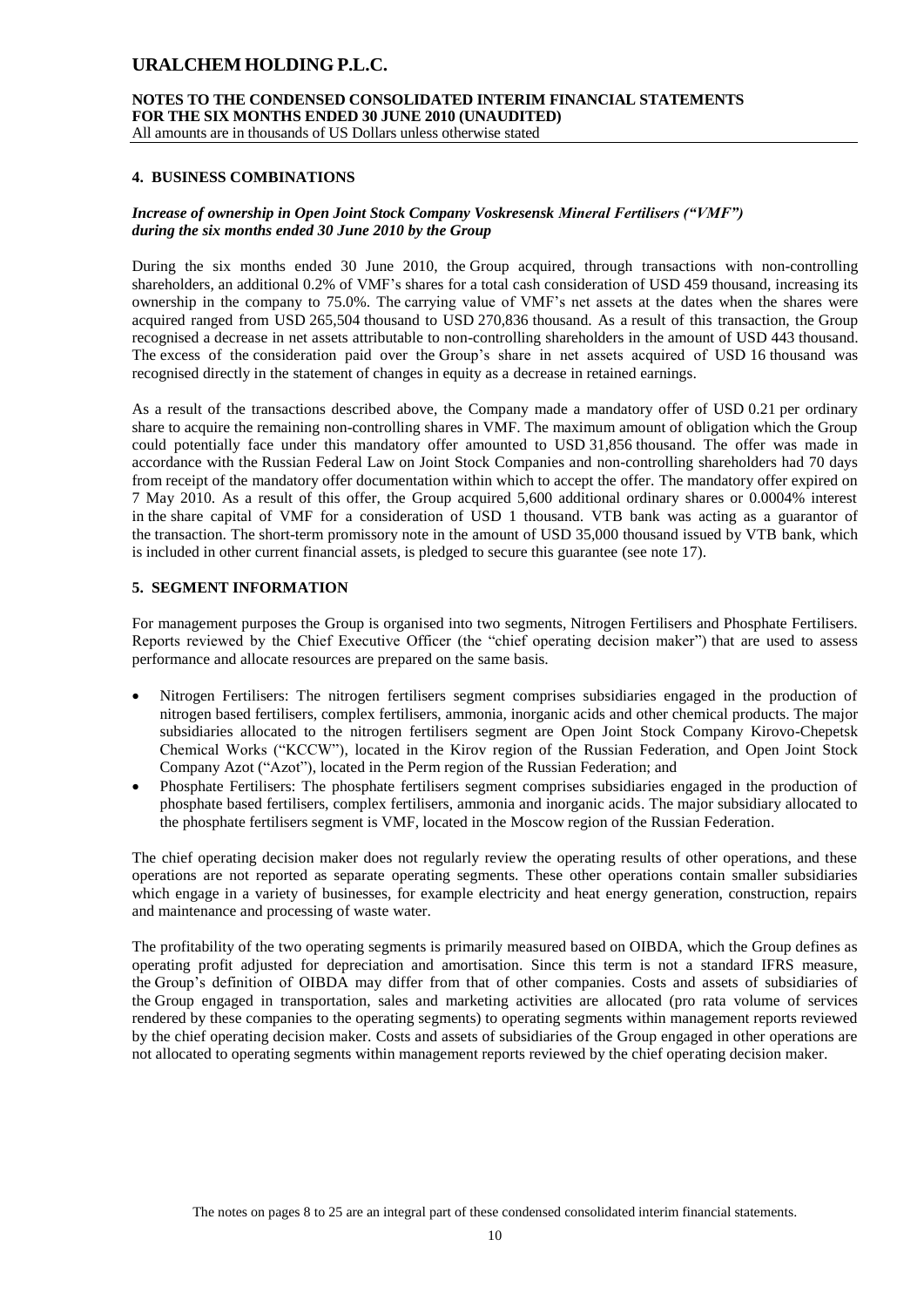**NOTES TO THE CONDENSED CONSOLIDATED INTERIM FINANCIAL STATEMENTS FOR THE SIX MONTHS ENDED 30 JUNE 2010 (UNAUDITED)**

All amounts are in thousands of US Dollars unless otherwise stated

### **4. BUSINESS COMBINATIONS**

### *Increase of ownership in Open Joint Stock Company Voskresensk Mineral Fertilisers ("VMF") during the six months ended 30 June 2010 by the Group*

During the six months ended 30 June 2010, the Group acquired, through transactions with non-controlling shareholders, an additional 0.2% of VMF's shares for a total cash consideration of USD 459 thousand, increasing its ownership in the company to 75.0%. The carrying value of VMF's net assets at the dates when the shares were acquired ranged from USD 265,504 thousand to USD 270,836 thousand. As a result of this transaction, the Group recognised a decrease in net assets attributable to non-controlling shareholders in the amount of USD 443 thousand. The excess of the consideration paid over the Group's share in net assets acquired of USD 16 thousand was recognised directly in the statement of changes in equity as a decrease in retained earnings.

As a result of the transactions described above, the Company made a mandatory offer of USD 0.21 per ordinary share to acquire the remaining non-controlling shares in VMF. The maximum amount of obligation which the Group could potentially face under this mandatory offer amounted to USD 31,856 thousand. The offer was made in accordance with the Russian Federal Law on Joint Stock Companies and non-controlling shareholders had 70 days from receipt of the mandatory offer documentation within which to accept the offer. The mandatory offer expired on 7 May 2010. As a result of this offer, the Group acquired 5,600 additional ordinary shares or 0.0004% interest in the share capital of VMF for a consideration of USD 1 thousand. VTB bank was acting as а guarantor of the transaction. The short-term promissory note in the amount of USD 35,000 thousand issued by VTB bank, which is included in other current financial assets, is pledged to secure this guarantee (see note 17).

### **5. SEGMENT INFORMATION**

For management purposes the Group is organised into two segments, Nitrogen Fertilisers and Phosphate Fertilisers. Reports reviewed by the Chief Executive Officer (the "chief operating decision maker") that are used to assess performance and allocate resources are prepared on the same basis.

- Nitrogen Fertilisers: The nitrogen fertilisers segment comprises subsidiaries engaged in the production of nitrogen based fertilisers, complex fertilisers, ammonia, inorganic acids and other chemical products. The major subsidiaries allocated to the nitrogen fertilisers segment are Open Joint Stock Company Kirovo-Chepetsk Chemical Works ("KCCW"), located in the Kirov region of the Russian Federation, and Open Joint Stock Company Azot ("Azot"), located in the Perm region of the Russian Federation; and
- Phosphate Fertilisers: The phosphate fertilisers segment comprises subsidiaries engaged in the production of phosphate based fertilisers, complex fertilisers, ammonia and inorganic acids. The major subsidiary allocated to the phosphate fertilisers segment is VMF, located in the Moscow region of the Russian Federation.

The chief operating decision maker does not regularly review the operating results of other operations, and these operations are not reported as separate operating segments. These other operations contain smaller subsidiaries which engage in a variety of businesses, for example electricity and heat energy generation, construction, repairs and maintenance and processing of waste water.

The profitability of the two operating segments is primarily measured based on OIBDA, which the Group defines as operating profit adjusted for depreciation and amortisation. Since this term is not a standard IFRS measure, the Group's definition of OIBDA may differ from that of other companies. Costs and assets of subsidiaries of the Group engaged in transportation, sales and marketing activities are allocated (pro rata volume of services rendered by these companies to the operating segments) to operating segments within management reports reviewed by the chief operating decision maker. Costs and assets of subsidiaries of the Group engaged in other operations are not allocated to operating segments within management reports reviewed by the chief operating decision maker.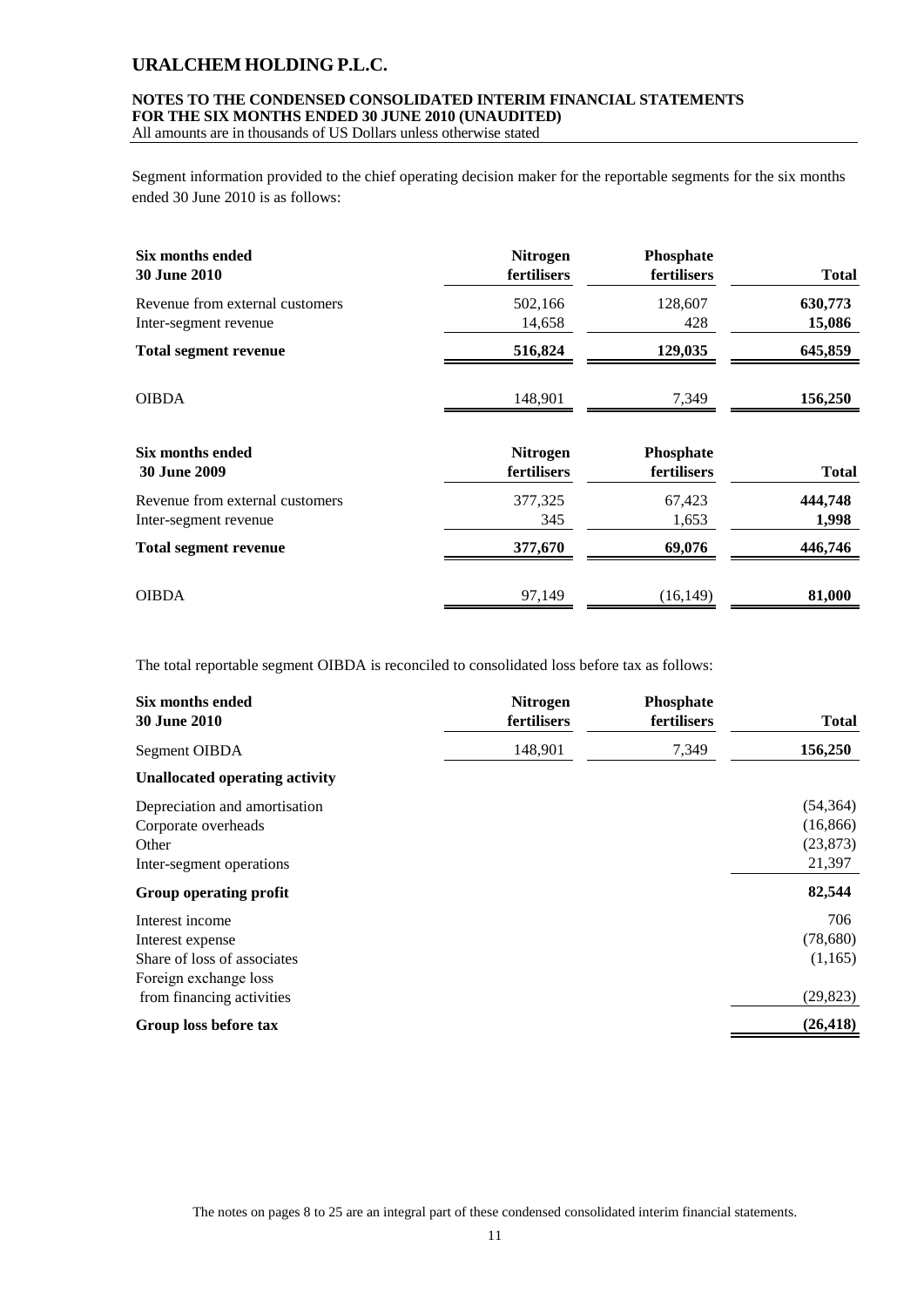### **NOTES TO THE CONDENSED CONSOLIDATED INTERIM FINANCIAL STATEMENTS FOR THE SIX MONTHS ENDED 30 JUNE 2010 (UNAUDITED)**

All amounts are in thousands of US Dollars unless otherwise stated

Segment information provided to the chief operating decision maker for the reportable segments for the six months ended 30 June 2010 is as follows:

| Six months ended                | <b>Nitrogen</b> | Phosphate   | <b>Total</b> |
|---------------------------------|-----------------|-------------|--------------|
| <b>30 June 2010</b>             | fertilisers     | fertilisers |              |
| Revenue from external customers | 502,166         | 128,607     | 630,773      |
| Inter-segment revenue           | 14,658          | 428         | 15,086       |
| <b>Total segment revenue</b>    | 516,824         | 129,035     | 645,859      |
| <b>OIBDA</b>                    | 148,901         | 7,349       | 156,250      |
| Six months ended                | <b>Nitrogen</b> | Phosphate   | <b>Total</b> |
| <b>30 June 2009</b>             | fertilisers     | fertilisers |              |
| Revenue from external customers | 377,325         | 67,423      | 444,748      |
| Inter-segment revenue           | 345             | 1,653       | 1,998        |
| <b>Total segment revenue</b>    | 377,670         | 69,076      | 446,746      |
| <b>OIBDA</b>                    | 97,149          | (16, 149)   | 81,000       |

The total reportable segment OIBDA is reconciled to consolidated loss before tax as follows:

| Six months ended<br><b>30 June 2010</b> | <b>Nitrogen</b><br>fertilisers | Phosphate<br>fertilisers | <b>Total</b> |
|-----------------------------------------|--------------------------------|--------------------------|--------------|
| Segment OIBDA                           | 148,901                        | 7,349                    | 156,250      |
| <b>Unallocated operating activity</b>   |                                |                          |              |
| Depreciation and amortisation           |                                |                          | (54, 364)    |
| Corporate overheads                     |                                |                          | (16, 866)    |
| Other                                   |                                |                          | (23, 873)    |
| Inter-segment operations                |                                |                          | 21,397       |
| Group operating profit                  |                                |                          | 82,544       |
| Interest income                         |                                |                          | 706          |
| Interest expense                        |                                |                          | (78,680)     |
| Share of loss of associates             |                                |                          | (1,165)      |
| Foreign exchange loss                   |                                |                          |              |
| from financing activities               |                                |                          | (29, 823)    |
| Group loss before tax                   |                                |                          | (26, 418)    |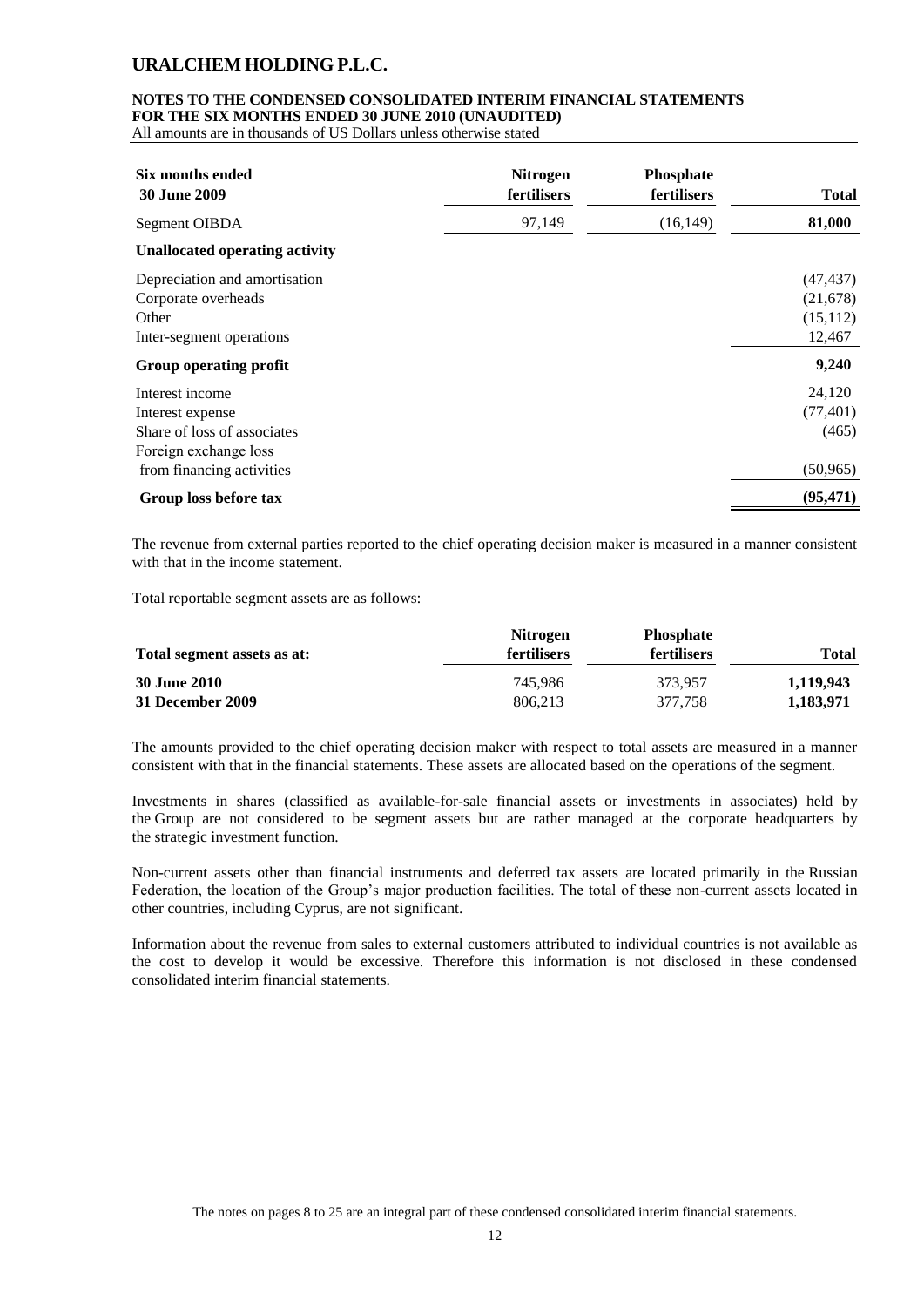#### **NOTES TO THE CONDENSED CONSOLIDATED INTERIM FINANCIAL STATEMENTS FOR THE SIX MONTHS ENDED 30 JUNE 2010 (UNAUDITED)**

All amounts are in thousands of US Dollars unless otherwise stated

| Six months ended<br><b>30 June 2009</b>                                                                                  | <b>Nitrogen</b><br>fertilisers | Phosphate<br>fertilisers | <b>Total</b>                                 |
|--------------------------------------------------------------------------------------------------------------------------|--------------------------------|--------------------------|----------------------------------------------|
| Segment OIBDA                                                                                                            | 97,149                         | (16, 149)                | 81,000                                       |
| <b>Unallocated operating activity</b>                                                                                    |                                |                          |                                              |
| Depreciation and amortisation<br>Corporate overheads<br>Other<br>Inter-segment operations                                |                                |                          | (47, 437)<br>(21,678)<br>(15, 112)<br>12,467 |
| Group operating profit                                                                                                   |                                |                          | 9,240                                        |
| Interest income<br>Interest expense<br>Share of loss of associates<br>Foreign exchange loss<br>from financing activities |                                |                          | 24,120<br>(77, 401)<br>(465)<br>(50, 965)    |
| Group loss before tax                                                                                                    |                                |                          | (95, 471)                                    |

The revenue from external parties reported to the chief operating decision maker is measured in a manner consistent with that in the income statement.

Total reportable segment assets are as follows:

|                             | <b>Nitrogen</b>    | <b>Phosphate</b>   |           |
|-----------------------------|--------------------|--------------------|-----------|
| Total segment assets as at: | <b>fertilisers</b> | <b>fertilisers</b> | Total     |
| 30 June 2010                | 745.986            | 373.957            | 1,119,943 |
| 31 December 2009            | 806.213            | 377.758            | 1,183,971 |

The amounts provided to the chief operating decision maker with respect to total assets are measured in a manner consistent with that in the financial statements. These assets are allocated based on the operations of the segment.

Investments in shares (classified as available-for-sale financial assets or investments in associates) held by the Group are not considered to be segment assets but are rather managed at the corporate headquarters by the strategic investment function.

Non-current assets other than financial instruments and deferred tax assets are located primarily in the Russian Federation, the location of the Group's major production facilities. The total of these non-current assets located in other countries, including Cyprus, are not significant.

Information about the revenue from sales to external customers attributed to individual countries is not available as the cost to develop it would be excessive. Therefore this information is not disclosed in these condensed consolidated interim financial statements.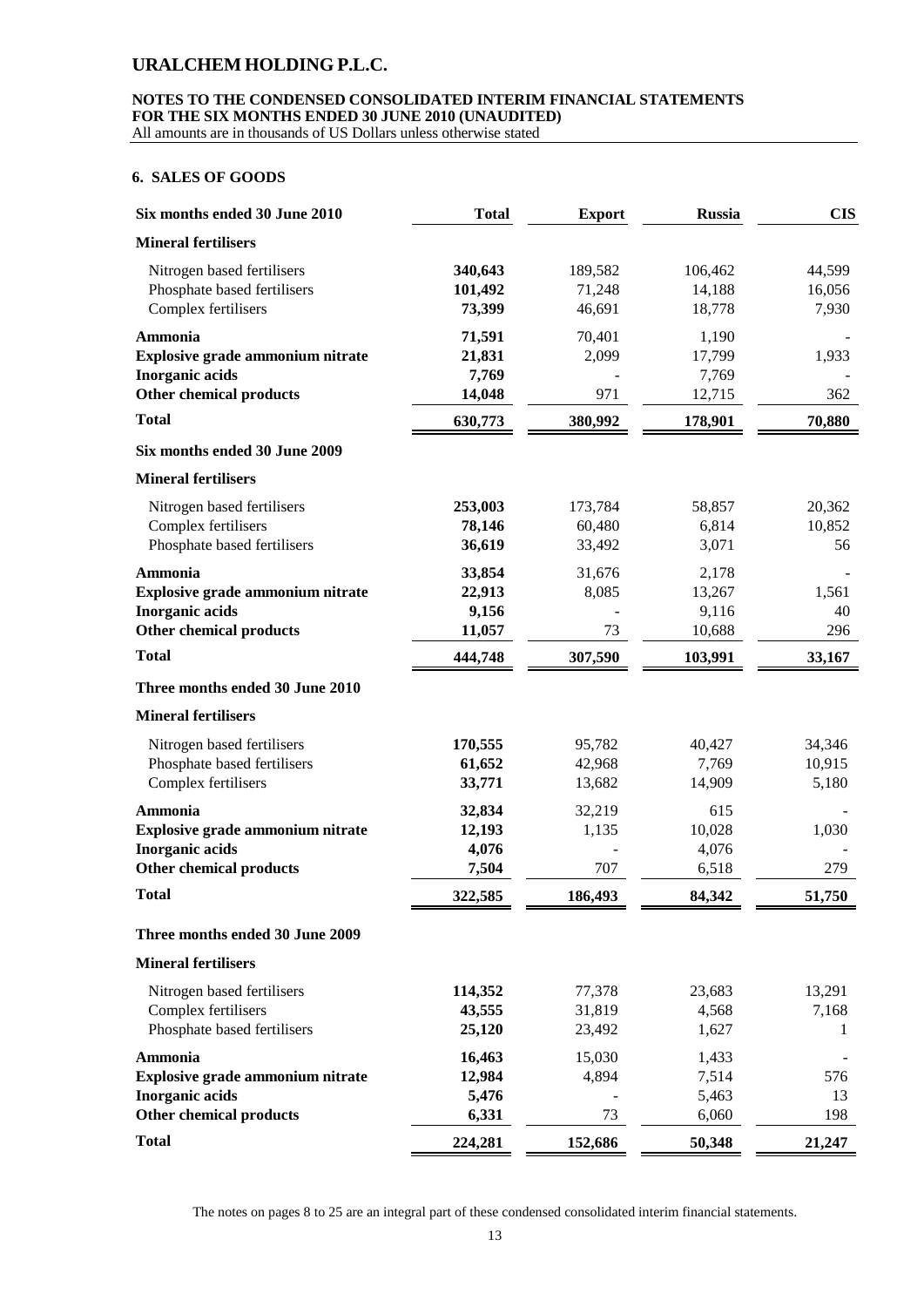# **NOTES TO THE CONDENSED CONSOLIDATED INTERIM FINANCIAL STATEMENTS FOR THE SIX MONTHS ENDED 30 JUNE 2010 (UNAUDITED)**

All amounts are in thousands of US Dollars unless otherwise stated

### **6. SALES OF GOODS**

| Six months ended 30 June 2010                                                                                  | <b>Total</b>                        | <b>Export</b>               | <b>Russia</b>                      | <b>CIS</b>                |
|----------------------------------------------------------------------------------------------------------------|-------------------------------------|-----------------------------|------------------------------------|---------------------------|
| <b>Mineral fertilisers</b>                                                                                     |                                     |                             |                                    |                           |
| Nitrogen based fertilisers<br>Phosphate based fertilisers<br>Complex fertilisers                               | 340,643<br>101,492<br>73,399        | 189,582<br>71,248<br>46,691 | 106,462<br>14,188<br>18,778        | 44,599<br>16,056<br>7,930 |
| Ammonia<br>Explosive grade ammonium nitrate<br>Inorganic acids<br>Other chemical products                      | 71,591<br>21,831<br>7,769<br>14,048 | 70,401<br>2,099<br>971      | 1,190<br>17,799<br>7,769<br>12,715 | 1,933<br>362              |
| <b>Total</b>                                                                                                   | 630,773                             | 380,992                     | 178,901                            | 70,880                    |
|                                                                                                                |                                     |                             |                                    |                           |
| Six months ended 30 June 2009                                                                                  |                                     |                             |                                    |                           |
| <b>Mineral fertilisers</b><br>Nitrogen based fertilisers<br>Complex fertilisers<br>Phosphate based fertilisers | 253,003<br>78,146<br>36,619         | 173,784<br>60,480<br>33,492 | 58,857<br>6,814<br>3,071           | 20,362<br>10,852<br>56    |
| Ammonia<br>Explosive grade ammonium nitrate<br><b>Inorganic</b> acids<br><b>Other chemical products</b>        | 33,854<br>22,913<br>9,156<br>11,057 | 31,676<br>8,085<br>73       | 2,178<br>13,267<br>9,116<br>10,688 | 1,561<br>40<br>296        |
| <b>Total</b>                                                                                                   | 444,748                             | 307,590                     | 103,991                            | 33,167                    |
| Three months ended 30 June 2010                                                                                |                                     |                             |                                    |                           |
| <b>Mineral fertilisers</b>                                                                                     |                                     |                             |                                    |                           |
| Nitrogen based fertilisers<br>Phosphate based fertilisers<br>Complex fertilisers                               | 170,555<br>61,652<br>33,771         | 95,782<br>42,968<br>13,682  | 40,427<br>7,769<br>14,909          | 34,346<br>10,915<br>5,180 |
| Ammonia<br>Explosive grade ammonium nitrate<br><b>Inorganic acids</b><br><b>Other chemical products</b>        | 32,834<br>12,193<br>4,076<br>7,504  | 32,219<br>1,135<br>707      | 615<br>10,028<br>4,076<br>6,518    | 1,030<br>279              |
| <b>Total</b>                                                                                                   | 322,585                             | 186,493                     | 84,342                             | 51,750                    |
| Three months ended 30 June 2009                                                                                |                                     |                             |                                    |                           |
| <b>Mineral fertilisers</b>                                                                                     |                                     |                             |                                    |                           |
| Nitrogen based fertilisers<br>Complex fertilisers<br>Phosphate based fertilisers                               | 114,352<br>43,555<br>25,120         | 77,378<br>31,819<br>23,492  | 23,683<br>4,568<br>1,627           | 13,291<br>7,168<br>1      |
| Ammonia<br><b>Explosive grade ammonium nitrate</b><br><b>Inorganic acids</b><br><b>Other chemical products</b> | 16,463<br>12,984<br>5,476<br>6,331  | 15,030<br>4,894<br>73       | 1,433<br>7,514<br>5,463<br>6,060   | 576<br>13<br>198          |
| <b>Total</b>                                                                                                   | 224,281                             | 152,686                     | 50,348                             | 21,247                    |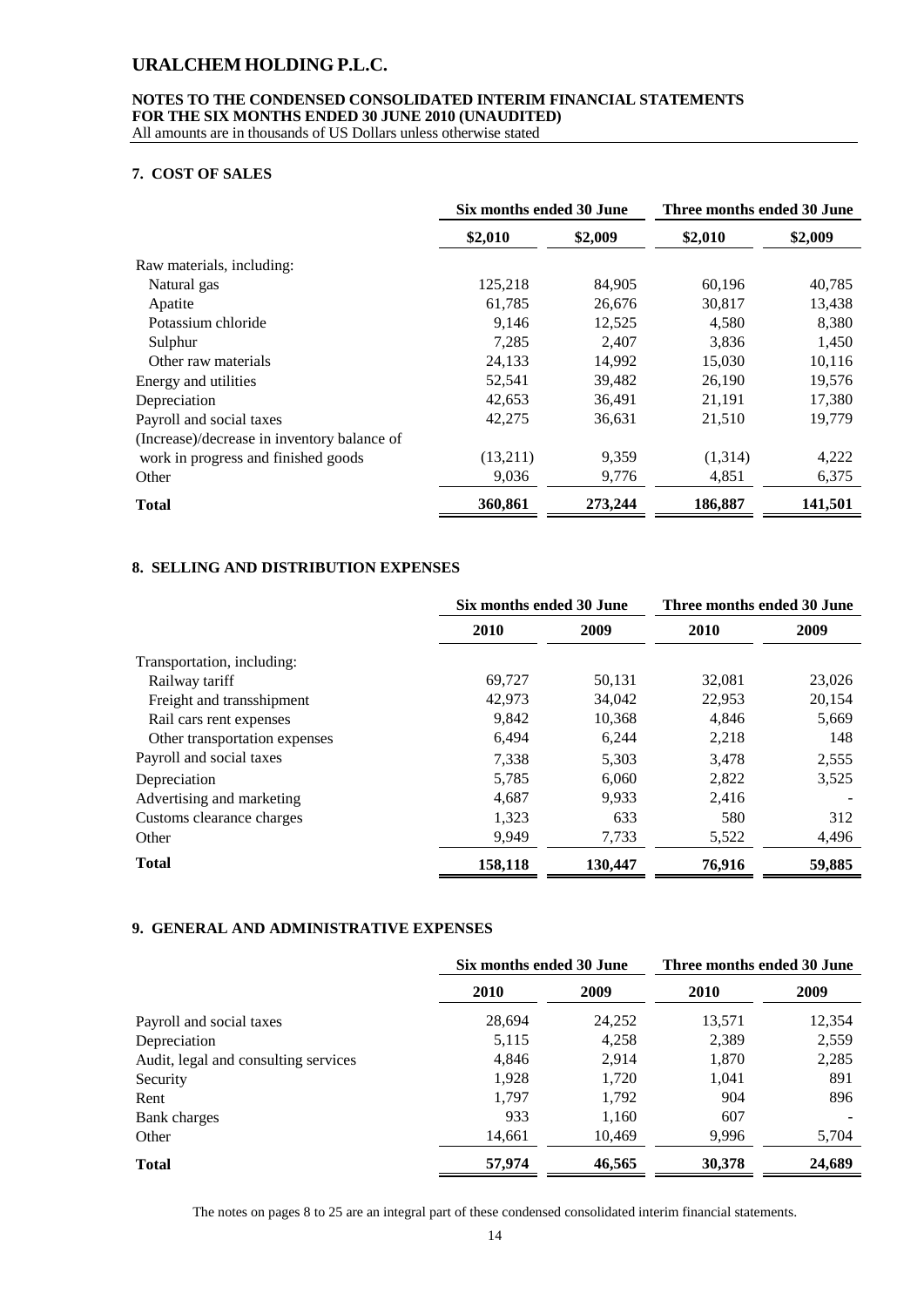### **NOTES TO THE CONDENSED CONSOLIDATED INTERIM FINANCIAL STATEMENTS FOR THE SIX MONTHS ENDED 30 JUNE 2010 (UNAUDITED)**

All amounts are in thousands of US Dollars unless otherwise stated

### **7. COST OF SALES**

|                                             | Six months ended 30 June |         | Three months ended 30 June |         |  |
|---------------------------------------------|--------------------------|---------|----------------------------|---------|--|
|                                             | \$2,010                  | \$2,009 | \$2,010                    | \$2,009 |  |
| Raw materials, including:                   |                          |         |                            |         |  |
| Natural gas                                 | 125,218                  | 84,905  | 60,196                     | 40,785  |  |
| Apatite                                     | 61,785                   | 26,676  | 30,817                     | 13,438  |  |
| Potassium chloride                          | 9,146                    | 12,525  | 4,580                      | 8,380   |  |
| Sulphur                                     | 7,285                    | 2,407   | 3,836                      | 1,450   |  |
| Other raw materials                         | 24,133                   | 14,992  | 15,030                     | 10,116  |  |
| Energy and utilities                        | 52,541                   | 39,482  | 26,190                     | 19,576  |  |
| Depreciation                                | 42,653                   | 36,491  | 21,191                     | 17,380  |  |
| Payroll and social taxes                    | 42,275                   | 36,631  | 21,510                     | 19,779  |  |
| (Increase)/decrease in inventory balance of |                          |         |                            |         |  |
| work in progress and finished goods         | (13,211)                 | 9,359   | (1,314)                    | 4,222   |  |
| Other                                       | 9,036                    | 9,776   | 4,851                      | 6,375   |  |
| <b>Total</b>                                | 360,861                  | 273,244 | 186,887                    | 141,501 |  |

### **8. SELLING AND DISTRIBUTION EXPENSES**

|                               |         | Six months ended 30 June |        | Three months ended 30 June |
|-------------------------------|---------|--------------------------|--------|----------------------------|
|                               | 2010    | 2009                     | 2010   | 2009                       |
| Transportation, including:    |         |                          |        |                            |
| Railway tariff                | 69.727  | 50,131                   | 32,081 | 23,026                     |
| Freight and transshipment     | 42,973  | 34,042                   | 22,953 | 20,154                     |
| Rail cars rent expenses       | 9,842   | 10,368                   | 4,846  | 5,669                      |
| Other transportation expenses | 6.494   | 6,244                    | 2,218  | 148                        |
| Payroll and social taxes      | 7,338   | 5,303                    | 3,478  | 2,555                      |
| Depreciation                  | 5.785   | 6.060                    | 2,822  | 3,525                      |
| Advertising and marketing     | 4,687   | 9,933                    | 2,416  |                            |
| Customs clearance charges     | 1,323   | 633                      | 580    | 312                        |
| Other                         | 9.949   | 7,733                    | 5,522  | 4,496                      |
| <b>Total</b>                  | 158,118 | 130,447                  | 76,916 | 59,885                     |

### **9. GENERAL AND ADMINISTRATIVE EXPENSES**

|                                      | Six months ended 30 June |        | Three months ended 30 June |        |
|--------------------------------------|--------------------------|--------|----------------------------|--------|
|                                      | 2010                     | 2009   | 2010                       | 2009   |
| Payroll and social taxes             | 28,694                   | 24,252 | 13,571                     | 12,354 |
| Depreciation                         | 5,115                    | 4,258  | 2,389                      | 2,559  |
| Audit, legal and consulting services | 4.846                    | 2.914  | 1,870                      | 2,285  |
| Security                             | 1,928                    | 1,720  | 1,041                      | 891    |
| Rent                                 | 1,797                    | 1,792  | 904                        | 896    |
| Bank charges                         | 933                      | 1,160  | 607                        |        |
| Other                                | 14,661                   | 10,469 | 9,996                      | 5,704  |
| <b>Total</b>                         | 57,974                   | 46,565 | 30,378                     | 24,689 |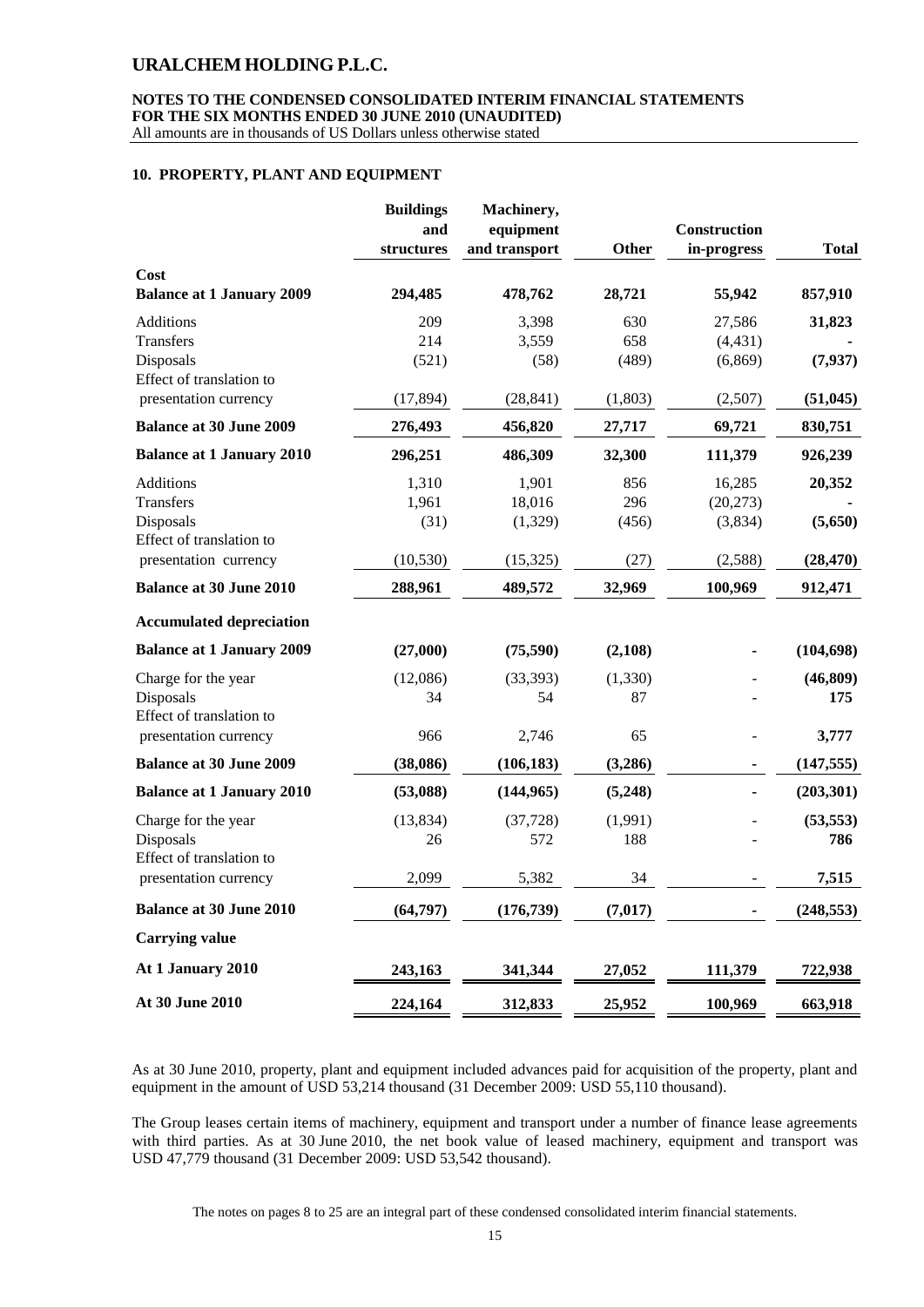### **NOTES TO THE CONDENSED CONSOLIDATED INTERIM FINANCIAL STATEMENTS FOR THE SIX MONTHS ENDED 30 JUNE 2010 (UNAUDITED)**

All amounts are in thousands of US Dollars unless otherwise stated

#### **10. PROPERTY, PLANT AND EQUIPMENT**

|                                          | <b>Buildings</b><br>and<br>structures | Machinery,<br>equipment<br>and transport | Other    | Construction<br>in-progress | <b>Total</b> |
|------------------------------------------|---------------------------------------|------------------------------------------|----------|-----------------------------|--------------|
| Cost<br><b>Balance at 1 January 2009</b> | 294,485                               | 478,762                                  | 28,721   | 55,942                      | 857,910      |
| <b>Additions</b>                         | 209                                   | 3,398                                    | 630      | 27,586                      | 31,823       |
| Transfers                                | 214                                   | 3,559                                    | 658      | (4, 431)                    |              |
| Disposals<br>Effect of translation to    | (521)                                 | (58)                                     | (489)    | (6,869)                     | (7, 937)     |
| presentation currency                    | (17, 894)                             | (28, 841)                                | (1,803)  | (2,507)                     | (51, 045)    |
| <b>Balance at 30 June 2009</b>           | 276,493                               | 456,820                                  | 27,717   | 69,721                      | 830,751      |
| <b>Balance at 1 January 2010</b>         | 296,251                               | 486,309                                  | 32,300   | 111,379                     | 926,239      |
| <b>Additions</b>                         | 1,310                                 | 1,901                                    | 856      | 16,285                      | 20,352       |
| Transfers                                | 1,961                                 | 18,016                                   | 296      | (20, 273)                   |              |
| Disposals<br>Effect of translation to    | (31)                                  | (1,329)                                  | (456)    | (3,834)                     | (5,650)      |
| presentation currency                    | (10, 530)                             | (15, 325)                                | (27)     | (2,588)                     | (28, 470)    |
| <b>Balance at 30 June 2010</b>           | 288,961                               | 489,572                                  | 32,969   | 100,969                     | 912,471      |
| <b>Accumulated depreciation</b>          |                                       |                                          |          |                             |              |
| <b>Balance at 1 January 2009</b>         | (27,000)                              | (75,590)                                 | (2,108)  |                             | (104, 698)   |
| Charge for the year                      | (12,086)                              | (33, 393)                                | (1, 330) |                             | (46, 809)    |
| Disposals<br>Effect of translation to    | 34                                    | 54                                       | 87       |                             | 175          |
| presentation currency                    | 966                                   | 2,746                                    | 65       |                             | 3,777        |
| <b>Balance at 30 June 2009</b>           | (38,086)                              | (106, 183)                               | (3,286)  |                             | (147, 555)   |
| <b>Balance at 1 January 2010</b>         | (53,088)                              | (144, 965)                               | (5,248)  |                             | (203, 301)   |
| Charge for the year                      | (13, 834)                             | (37, 728)                                | (1,991)  |                             | (53, 553)    |
| Disposals<br>Effect of translation to    | 26                                    | 572                                      | 188      |                             | 786          |
| presentation currency                    | 2,099                                 | 5,382                                    | 34       |                             | 7,515        |
| <b>Balance at 30 June 2010</b>           | (64, 797)                             | (176, 739)                               | (7, 017) |                             | (248, 553)   |
| <b>Carrying value</b>                    |                                       |                                          |          |                             |              |
| At 1 January 2010                        | 243,163                               | 341,344                                  | 27,052   | 111,379                     | 722,938      |
| At 30 June 2010                          | 224,164                               | 312,833                                  | 25,952   | 100,969                     | 663,918      |

As at 30 June 2010, property, plant and equipment included advances paid for acquisition of the property, plant and equipment in the amount of USD 53,214 thousand (31 December 2009: USD 55,110 thousand).

The Group leases certain items of machinery, equipment and transport under a number of finance lease agreements with third parties. As at 30 June 2010, the net book value of leased machinery, equipment and transport was USD 47,779 thousand (31 December 2009: USD 53,542 thousand).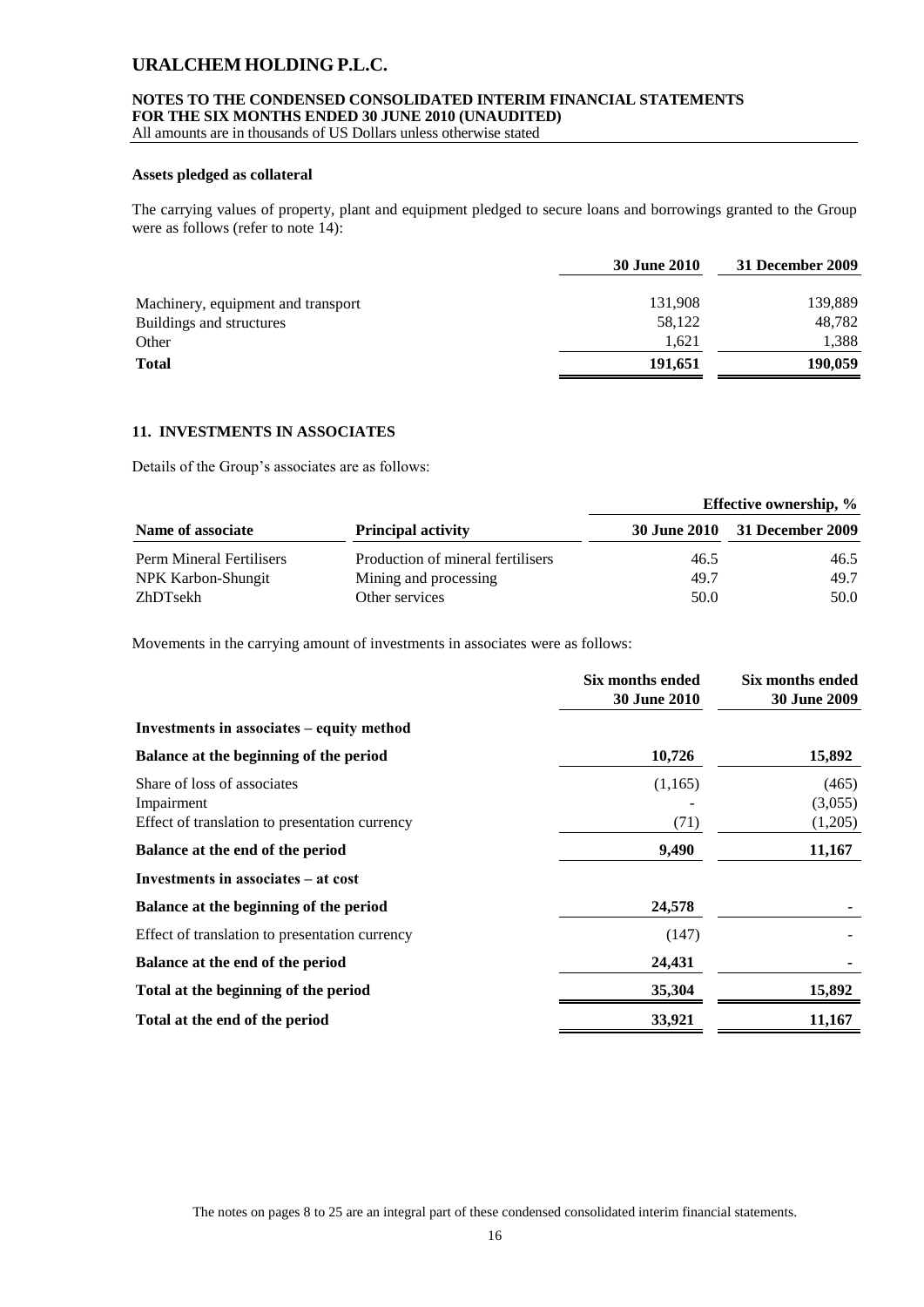### **NOTES TO THE CONDENSED CONSOLIDATED INTERIM FINANCIAL STATEMENTS FOR THE SIX MONTHS ENDED 30 JUNE 2010 (UNAUDITED)**

All amounts are in thousands of US Dollars unless otherwise stated

### **Assets pledged as collateral**

The carrying values of property, plant and equipment pledged to secure loans and borrowings granted to the Group were as follows (refer to note 14):

|                                    | <b>30 June 2010</b> | 31 December 2009 |
|------------------------------------|---------------------|------------------|
| Machinery, equipment and transport | 131,908             | 139,889          |
| Buildings and structures           | 58,122              | 48,782           |
| Other                              | 1,621               | 1.388            |
| <b>Total</b>                       | 191,651             | 190,059          |

### **11. INVESTMENTS IN ASSOCIATES**

Details of the Group's associates are as follows:

|                          |                                   | <b>Effective ownership, %</b> |                               |  |
|--------------------------|-----------------------------------|-------------------------------|-------------------------------|--|
| Name of associate        | <b>Principal activity</b>         |                               | 30 June 2010 31 December 2009 |  |
| Perm Mineral Fertilisers | Production of mineral fertilisers | 46.5                          | 46.5                          |  |
| NPK Karbon-Shungit       | Mining and processing             | 49.7                          | 49.7                          |  |
| ZhDTsekh                 | Other services                    | 50.0                          | 50.0                          |  |

Movements in the carrying amount of investments in associates were as follows:

|                                                                                             | Six months ended<br><b>30 June 2010</b> | Six months ended<br><b>30 June 2009</b> |
|---------------------------------------------------------------------------------------------|-----------------------------------------|-----------------------------------------|
| Investments in associates – equity method                                                   |                                         |                                         |
| Balance at the beginning of the period                                                      | 10,726                                  | 15,892                                  |
| Share of loss of associates<br>Impairment<br>Effect of translation to presentation currency | (1,165)<br>(71)                         | (465)<br>(3,055)<br>(1,205)             |
| Balance at the end of the period                                                            | 9,490                                   | 11,167                                  |
| Investments in associates – at cost                                                         |                                         |                                         |
| Balance at the beginning of the period                                                      | 24,578                                  |                                         |
| Effect of translation to presentation currency                                              | (147)                                   |                                         |
| Balance at the end of the period                                                            | 24,431                                  |                                         |
| Total at the beginning of the period                                                        | 35,304                                  | 15,892                                  |
| Total at the end of the period                                                              | 33,921                                  | 11,167                                  |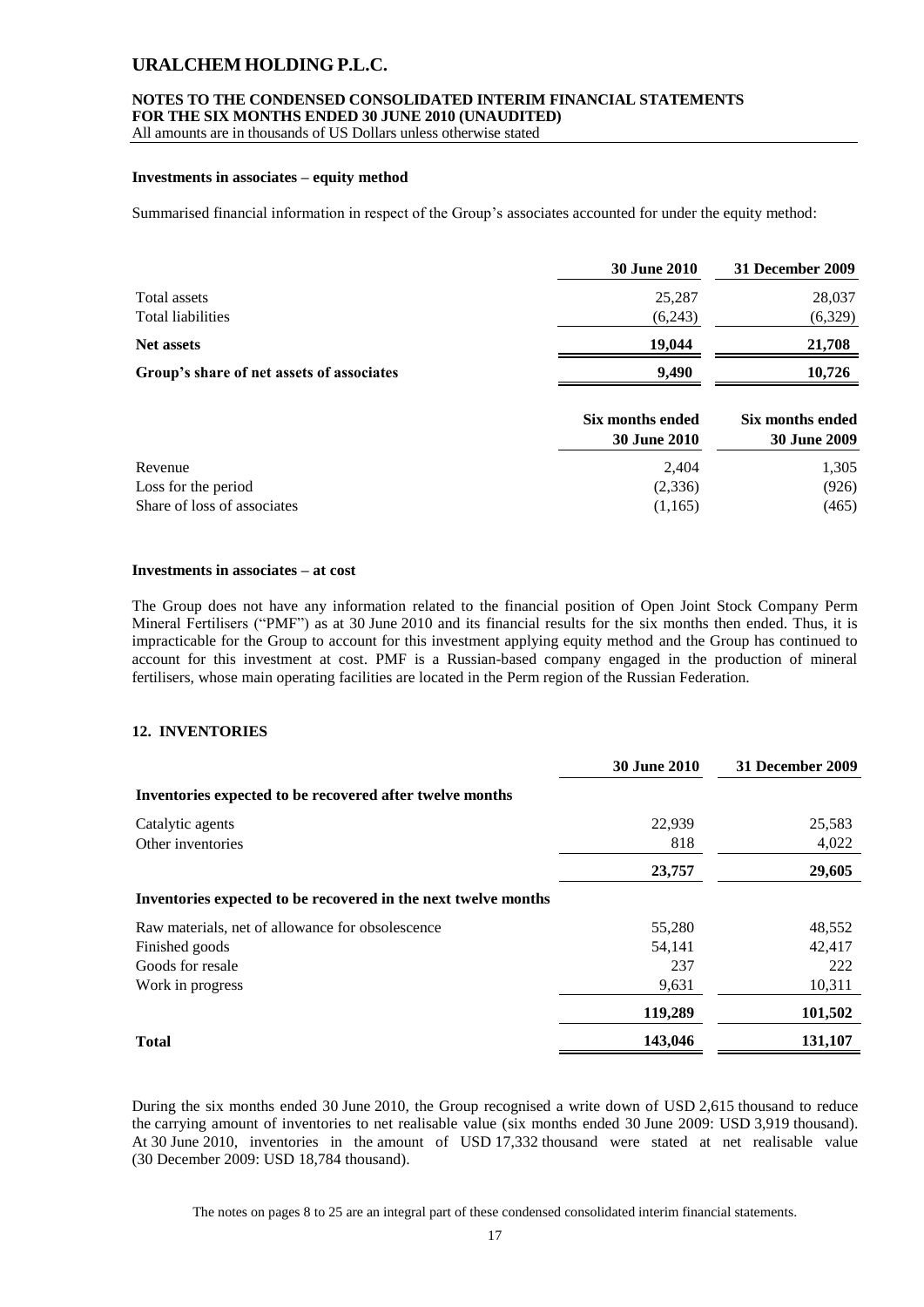#### **NOTES TO THE CONDENSED CONSOLIDATED INTERIM FINANCIAL STATEMENTS FOR THE SIX MONTHS ENDED 30 JUNE 2010 (UNAUDITED)**

All amounts are in thousands of US Dollars unless otherwise stated

#### **Investments in associates – equity method**

Summarised financial information in respect of the Group's associates accounted for under the equity method:

|                                           | <b>30 June 2010</b> | 31 December 2009 |
|-------------------------------------------|---------------------|------------------|
| Total assets                              | 25,287              | 28,037           |
| Total liabilities                         | (6,243)             | (6,329)          |
| <b>Net assets</b>                         | 19,044              | 21,708           |
| Group's share of net assets of associates | 9.490               | 10,726           |

|                             | Six months ended<br>30 June 2010 | Six months ended<br>30 June 2009 |  |
|-----------------------------|----------------------------------|----------------------------------|--|
| Revenue                     | 2,404                            | 1,305                            |  |
| Loss for the period         | (2,336)                          | (926)                            |  |
| Share of loss of associates | (1,165)                          | (465)                            |  |

#### **Investments in associates – at cost**

The Group does not have any information related to the financial position of Open Joint Stock Company Perm Mineral Fertilisers ("PMF") as at 30 June 2010 and its financial results for the six months then ended. Thus, it is impracticable for the Group to account for this investment applying equity method and the Group has continued to account for this investment at cost. PMF is a Russian-based company engaged in the production of mineral fertilisers, whose main operating facilities are located in the Perm region of the Russian Federation.

### **12. INVENTORIES**

|                                                                | <b>30 June 2010</b> | 31 December 2009 |
|----------------------------------------------------------------|---------------------|------------------|
| Inventories expected to be recovered after twelve months       |                     |                  |
| Catalytic agents                                               | 22,939              | 25,583           |
| Other inventories                                              | 818                 | 4,022            |
|                                                                | 23,757              | 29,605           |
| Inventories expected to be recovered in the next twelve months |                     |                  |
| Raw materials, net of allowance for obsolescence               | 55,280              | 48,552           |
| Finished goods                                                 | 54.141              | 42,417           |
| Goods for resale                                               | 237                 | 222              |
| Work in progress                                               | 9,631               | 10,311           |
|                                                                | 119,289             | 101,502          |
| <b>Total</b>                                                   | 143,046             | 131,107          |

During the six months ended 30 June 2010, the Group recognised a write down of USD 2,615 thousand to reduce the carrying amount of inventories to net realisable value (six months ended 30 June 2009: USD 3,919 thousand). At 30 June 2010, inventories in the amount of USD 17,332 thousand were stated at net realisable value (30 December 2009: USD 18,784 thousand).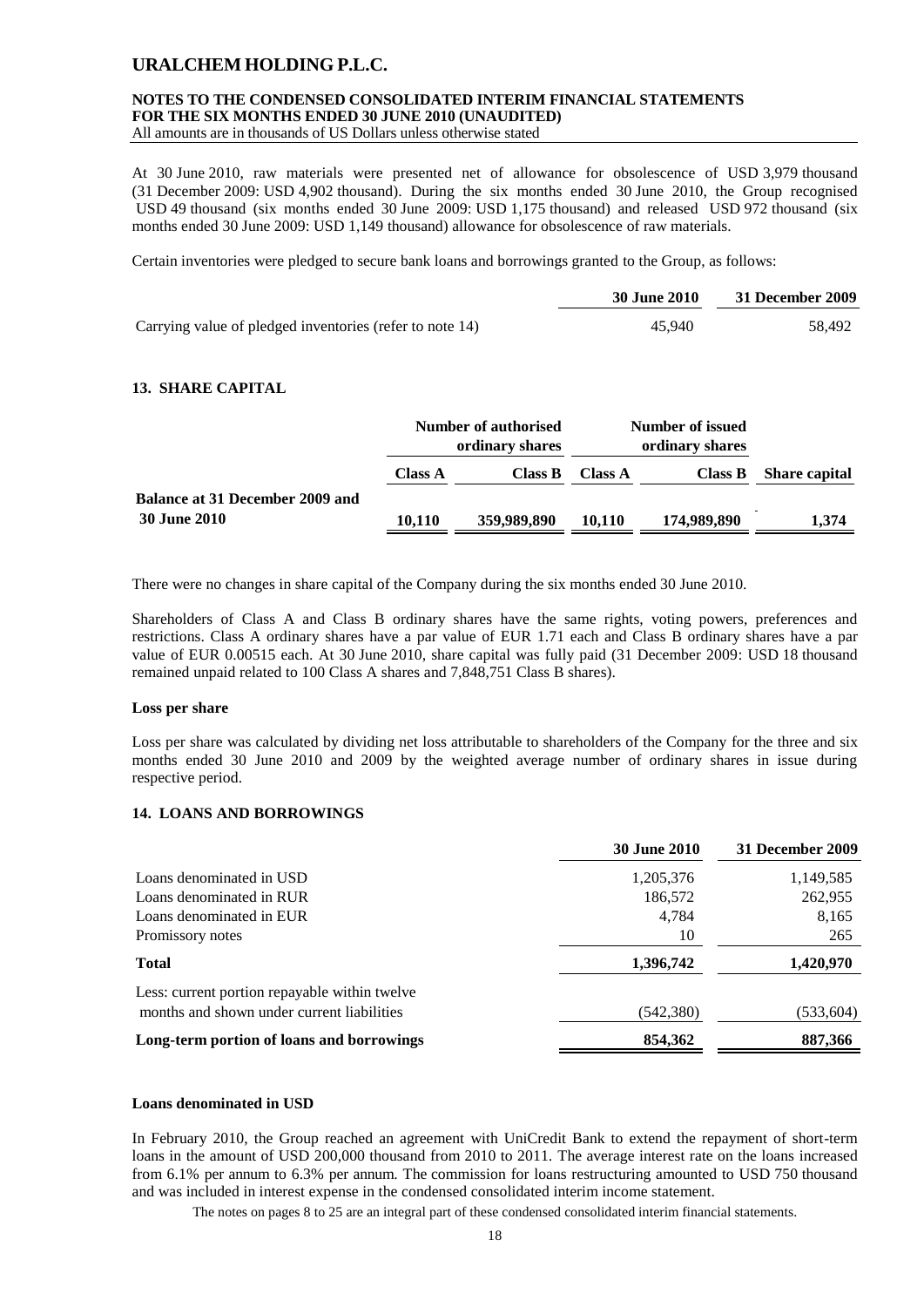### **NOTES TO THE CONDENSED CONSOLIDATED INTERIM FINANCIAL STATEMENTS FOR THE SIX MONTHS ENDED 30 JUNE 2010 (UNAUDITED)**

All amounts are in thousands of US Dollars unless otherwise stated

At 30 June 2010, raw materials were presented net of allowance for obsolescence of USD 3,979 thousand (31 December 2009: USD 4,902 thousand). During the six months ended 30 June 2010, the Group recognised USD 49 thousand (six months ended 30 June 2009: USD 1,175 thousand) and released USD 972 thousand (six months ended 30 June 2009: USD 1,149 thousand) allowance for obsolescence of raw materials.

Certain inventories were pledged to secure bank loans and borrowings granted to the Group, as follows:

|                                                          | <b>30 June 2010</b> | 31 December 2009 |
|----------------------------------------------------------|---------------------|------------------|
| Carrying value of pledged inventories (refer to note 14) | 45.940              | 58.492           |

### **13. SHARE CAPITAL**

|                                        | Number of authorised<br>ordinary shares |             | Number of issued<br>ordinary shares |             |                      |
|----------------------------------------|-----------------------------------------|-------------|-------------------------------------|-------------|----------------------|
|                                        | <b>Class A</b>                          | Class B     | <b>Class A</b>                      | Class B     | <b>Share capital</b> |
| <b>Balance at 31 December 2009 and</b> |                                         |             |                                     |             |                      |
| <b>30 June 2010</b>                    | 10,110                                  | 359,989,890 | 10.110                              | 174,989,890 | 1,374                |

There were no changes in share capital of the Company during the six months ended 30 June 2010.

Shareholders of Class A and Class B ordinary shares have the same rights, voting powers, preferences and restrictions. Class A ordinary shares have a par value of EUR 1.71 each and Class B ordinary shares have a par value of EUR 0.00515 each. At 30 June 2010, share capital was fully paid (31 December 2009: USD 18 thousand remained unpaid related to 100 Class A shares and 7,848,751 Class B shares).

#### **Loss per share**

Loss per share was calculated by dividing net loss attributable to shareholders of the Company for the three and six months ended 30 June 2010 and 2009 by the weighted average number of ordinary shares in issue during respective period.

### **14. LOANS AND BORROWINGS**

|                                               | <b>30 June 2010</b> | 31 December 2009 |
|-----------------------------------------------|---------------------|------------------|
| Loans denominated in USD                      | 1,205,376           | 1,149,585        |
| Loans denominated in RUR                      | 186,572             | 262,955          |
| Loans denominated in EUR                      | 4.784               | 8,165            |
| Promissory notes                              | 10                  | 265              |
| <b>Total</b>                                  | 1,396,742           | 1,420,970        |
| Less: current portion repayable within twelve |                     |                  |
| months and shown under current liabilities    | (542,380)           | (533, 604)       |
| Long-term portion of loans and borrowings     | 854.362             | 887,366          |

### **Loans denominated in USD**

In February 2010, the Group reached an agreement with UniCredit Bank to extend the repayment of short-term loans in the amount of USD 200,000 thousand from 2010 to 2011. The average interest rate on the loans increased from 6.1% per annum to 6.3% per annum. The commission for loans restructuring amounted to USD 750 thousand and was included in interest expense in the condensed consolidated interim income statement.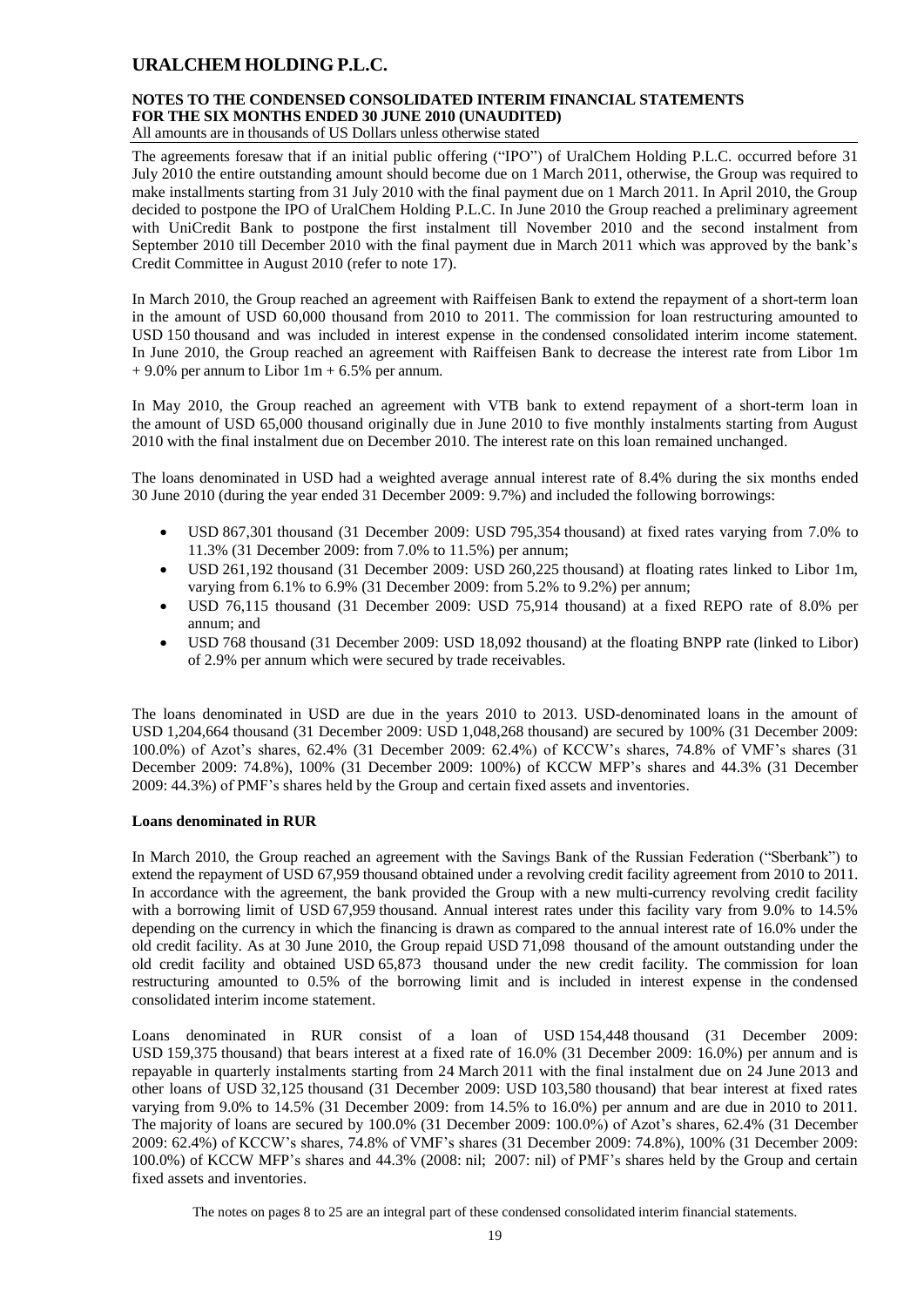# **NOTES TO THE CONDENSED CONSOLIDATED INTERIM FINANCIAL STATEMENTS FOR THE SIX MONTHS ENDED 30 JUNE 2010 (UNAUDITED)**

All amounts are in thousands of US Dollars unless otherwise stated

The agreements foresaw that if an initial public offering ("IPO") of UralChem Holding P.L.C. occurred before 31 July 2010 the entire outstanding amount should become due on 1 March 2011, otherwise, the Group was required to make installments starting from 31 July 2010 with the final payment due on 1 March 2011. In April 2010, the Group decided to postpone the IPO of UralChem Holding P.L.C. In June 2010 the Group reached a preliminary agreement with UniCredit Bank to postpone the first instalment till November 2010 and the second instalment from September 2010 till December 2010 with the final payment due in March 2011 which was approved by the bank's Credit Committee in August 2010 (refer to note 17).

In March 2010, the Group reached an agreement with Raiffeisen Bank to extend the repayment of a short-term loan in the amount of USD 60,000 thousand from 2010 to 2011. The commission for loan restructuring amounted to USD 150 thousand and was included in interest expense in the condensed consolidated interim income statement. In June 2010, the Group reached an agreement with Raiffeisen Bank to decrease the interest rate from Libor 1m  $+9.0\%$  per annum to Libor 1m + 6.5% per annum.

In May 2010, the Group reached an agreement with VTB bank to extend repayment of a short-term loan in the amount of USD 65,000 thousand originally due in June 2010 to five monthly instalments starting from August 2010 with the final instalment due on December 2010. The interest rate on this loan remained unchanged.

The loans denominated in USD had a weighted average annual interest rate of 8.4% during the six months ended 30 June 2010 (during the year ended 31 December 2009: 9.7%) and included the following borrowings:

- USD 867,301 thousand (31 December 2009: USD 795,354 thousand) at fixed rates varying from 7.0% to 11.3% (31 December 2009: from 7.0% to 11.5%) per annum;
- USD 261,192 thousand (31 December 2009: USD 260,225 thousand) at floating rates linked to Libor 1m, varying from 6.1% to 6.9% (31 December 2009: from 5.2% to 9.2%) per annum;
- USD 76,115 thousand (31 December 2009: USD 75,914 thousand) at a fixed REPO rate of 8.0% per annum; and
- USD 768 thousand (31 December 2009: USD 18,092 thousand) at the floating BNPP rate (linked to Libor) of 2.9% per annum which were secured by trade receivables.

The loans denominated in USD are due in the years 2010 to 2013. USD-denominated loans in the amount of USD 1,204,664 thousand (31 December 2009: USD 1,048,268 thousand) are secured by 100% (31 December 2009: 100.0%) of Azot's shares, 62.4% (31 December 2009: 62.4%) of KCCW's shares, 74.8% of VMF's shares (31 December 2009: 74.8%), 100% (31 December 2009: 100%) of KCCW MFP's shares and 44.3% (31 December 2009: 44.3%) of PMF's shares held by the Group and certain fixed assets and inventories.

### **Loans denominated in RUR**

In March 2010, the Group reached an agreement with the Savings Bank of the Russian Federation ("Sberbank") to extend the repayment of USD 67,959 thousand obtained under a revolving credit facility agreement from 2010 to 2011. In accordance with the agreement, the bank provided the Group with a new multi-currency revolving credit facility with a borrowing limit of USD 67.959 thousand. Annual interest rates under this facility vary from 9.0% to 14.5% depending on the currency in which the financing is drawn as compared to the annual interest rate of 16.0% under the old credit facility. As at 30 June 2010, the Group repaid USD 71,098 thousand of the amount outstanding under the old credit facility and obtained USD 65,873 thousand under the new credit facility. The commission for loan restructuring amounted to 0.5% of the borrowing limit and is included in interest expense in the condensed consolidated interim income statement.

Loans denominated in RUR consist of a loan of USD 154,448 thousand (31 December 2009: USD 159,375 thousand) that bears interest at a fixed rate of 16.0% (31 December 2009: 16.0%) per annum and is repayable in quarterly instalments starting from 24 March 2011 with the final instalment due on 24 June 2013 and other loans of USD 32,125 thousand (31 December 2009: USD 103,580 thousand) that bear interest at fixed rates varying from 9.0% to 14.5% (31 December 2009: from 14.5% to 16.0%) per annum and are due in 2010 to 2011. The majority of loans are secured by 100.0% (31 December 2009: 100.0%) of Azot's shares, 62.4% (31 December 2009: 62.4%) of KCCW's shares, 74.8% of VMF's shares (31 December 2009: 74.8%), 100% (31 December 2009: 100.0%) of KCCW MFP's shares and 44.3% (2008: nil; 2007: nil) of PMF's shares held by the Group and certain fixed assets and inventories.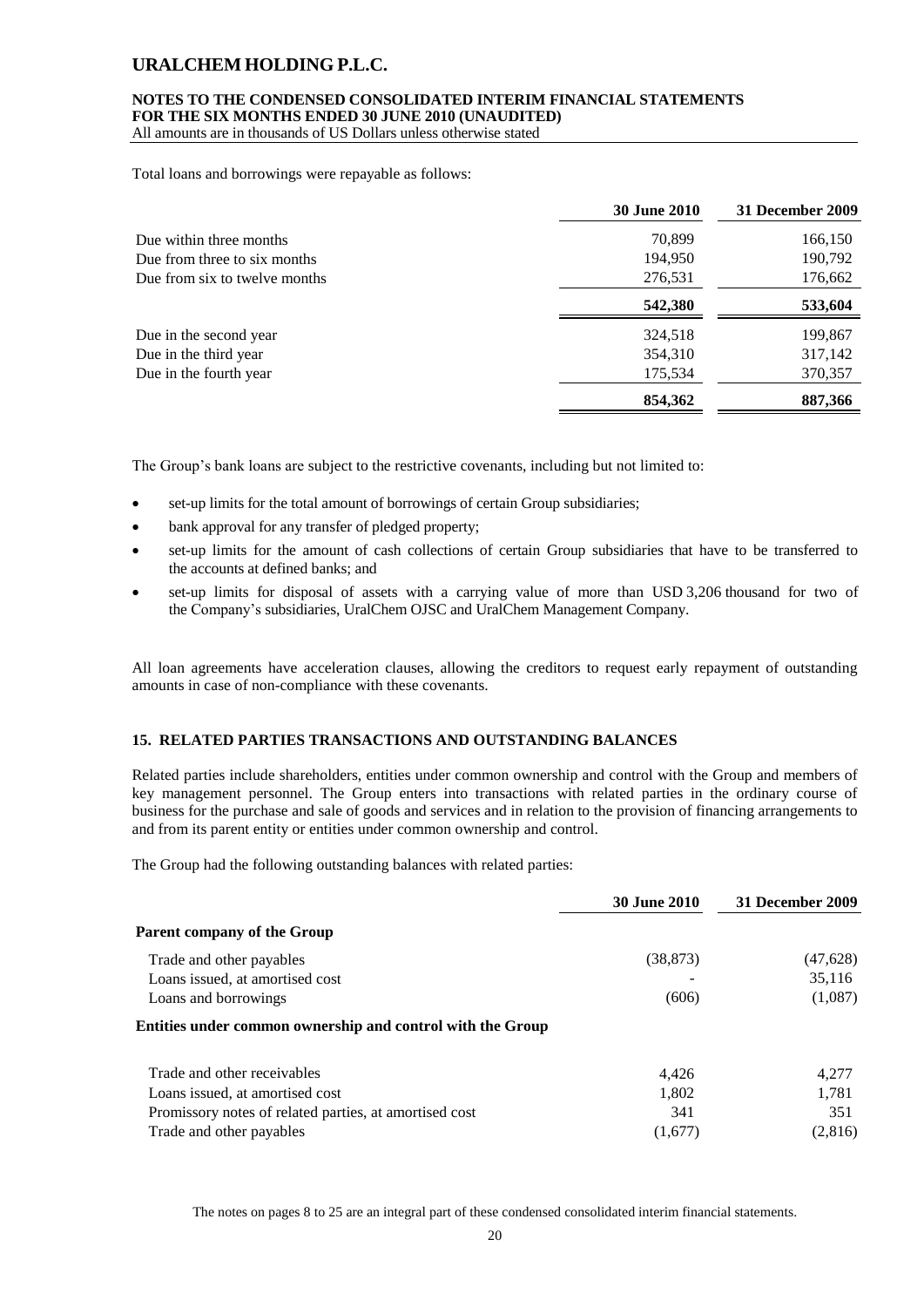#### **NOTES TO THE CONDENSED CONSOLIDATED INTERIM FINANCIAL STATEMENTS FOR THE SIX MONTHS ENDED 30 JUNE 2010 (UNAUDITED)**

All amounts are in thousands of US Dollars unless otherwise stated

Total loans and borrowings were repayable as follows:

|                               | <b>30 June 2010</b> | 31 December 2009 |
|-------------------------------|---------------------|------------------|
| Due within three months       | 70,899              | 166,150          |
| Due from three to six months  | 194,950             | 190,792          |
| Due from six to twelve months | 276,531             | 176,662          |
|                               | 542,380             | 533,604          |
| Due in the second year        | 324,518             | 199,867          |
| Due in the third year         | 354,310             | 317,142          |
| Due in the fourth year        | 175,534             | 370,357          |
|                               | 854,362             | 887,366          |

The Group's bank loans are subject to the restrictive covenants, including but not limited to:

- set-up limits for the total amount of borrowings of certain Group subsidiaries;
- bank approval for any transfer of pledged property;
- set-up limits for the amount of cash collections of certain Group subsidiaries that have to be transferred to the accounts at defined banks; and
- set-up limits for disposal of assets with a carrying value of more than USD 3,206 thousand for two of the Company's subsidiaries, UralChem OJSC and UralChem Management Company.

All loan agreements have acceleration clauses, allowing the creditors to request early repayment of outstanding amounts in case of non-compliance with these covenants.

### **15. RELATED PARTIES TRANSACTIONS AND OUTSTANDING BALANCES**

Related parties include shareholders, entities under common ownership and control with the Group and members of key management personnel. The Group enters into transactions with related parties in the ordinary course of business for the purchase and sale of goods and services and in relation to the provision of financing arrangements to and from its parent entity or entities under common ownership and control.

The Group had the following outstanding balances with related parties:

|                                                            | <b>30 June 2010</b> | 31 December 2009 |
|------------------------------------------------------------|---------------------|------------------|
| <b>Parent company of the Group</b>                         |                     |                  |
| Trade and other payables                                   | (38, 873)           | (47, 628)        |
| Loans issued, at amortised cost                            |                     | 35.116           |
| Loans and borrowings                                       | (606)               | (1,087)          |
| Entities under common ownership and control with the Group |                     |                  |
| Trade and other receivables                                | 4.426               | 4,277            |
| Loans issued, at amortised cost                            | 1,802               | 1,781            |
| Promissory notes of related parties, at amortised cost     | 341                 | 351              |
| Trade and other payables                                   | (1,677)             | (2,816)          |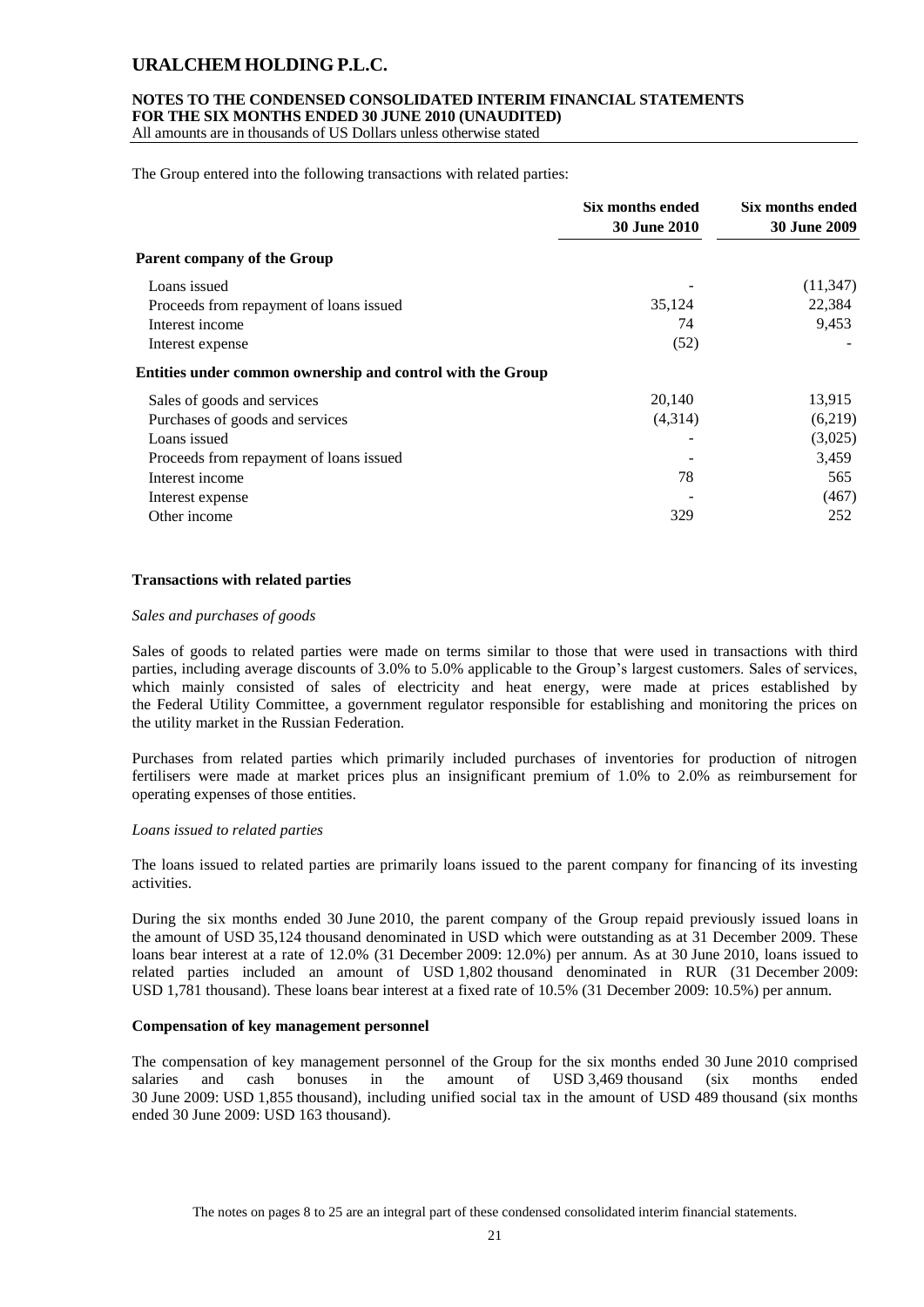### **NOTES TO THE CONDENSED CONSOLIDATED INTERIM FINANCIAL STATEMENTS FOR THE SIX MONTHS ENDED 30 JUNE 2010 (UNAUDITED)**

All amounts are in thousands of US Dollars unless otherwise stated

The Group entered into the following transactions with related parties:

|                                                            | Six months ended<br><b>30 June 2010</b> | Six months ended<br><b>30 June 2009</b> |
|------------------------------------------------------------|-----------------------------------------|-----------------------------------------|
| <b>Parent company of the Group</b>                         |                                         |                                         |
| Loans issued                                               |                                         | (11, 347)                               |
| Proceeds from repayment of loans issued                    | 35,124                                  | 22,384                                  |
| Interest income                                            | 74                                      | 9,453                                   |
| Interest expense                                           | (52)                                    |                                         |
| Entities under common ownership and control with the Group |                                         |                                         |
| Sales of goods and services                                | 20,140                                  | 13,915                                  |
| Purchases of goods and services                            | (4,314)                                 | (6,219)                                 |
| Loans issued                                               |                                         | (3,025)                                 |
| Proceeds from repayment of loans issued                    |                                         | 3,459                                   |
| Interest income                                            | 78                                      | 565                                     |
| Interest expense                                           |                                         | (467)                                   |
| Other income                                               | 329                                     | 252                                     |

### **Transactions with related parties**

#### *Sales and purchases of goods*

Sales of goods to related parties were made on terms similar to those that were used in transactions with third parties, including average discounts of 3.0% to 5.0% applicable to the Group's largest customers. Sales of services, which mainly consisted of sales of electricity and heat energy, were made at prices established by the Federal Utility Committee, a government regulator responsible for establishing and monitoring the prices on the utility market in the Russian Federation.

Purchases from related parties which primarily included purchases of inventories for production of nitrogen fertilisers were made at market prices plus an insignificant premium of 1.0% to 2.0% as reimbursement for operating expenses of those entities.

### *Loans issued to related parties*

The loans issued to related parties are primarily loans issued to the parent company for financing of its investing activities.

During the six months ended 30 June 2010, the parent company of the Group repaid previously issued loans in the amount of USD 35,124 thousand denominated in USD which were outstanding as at 31 December 2009. These loans bear interest at a rate of 12.0% (31 December 2009: 12.0%) per annum. As at 30 June 2010, loans issued to related parties included an amount of USD 1,802 thousand denominated in RUR (31 December 2009: USD 1,781 thousand). These loans bear interest at a fixed rate of 10.5% (31 December 2009: 10.5%) per annum.

### **Compensation of key management personnel**

The compensation of key management personnel of the Group for the six months ended 30 June 2010 comprised salaries and cash bonuses in the amount of USD 3,469 thousand (six months ended 30 June 2009: USD 1,855 thousand), including unified social tax in the amount of USD 489 thousand (six months ended 30 June 2009: USD 163 thousand).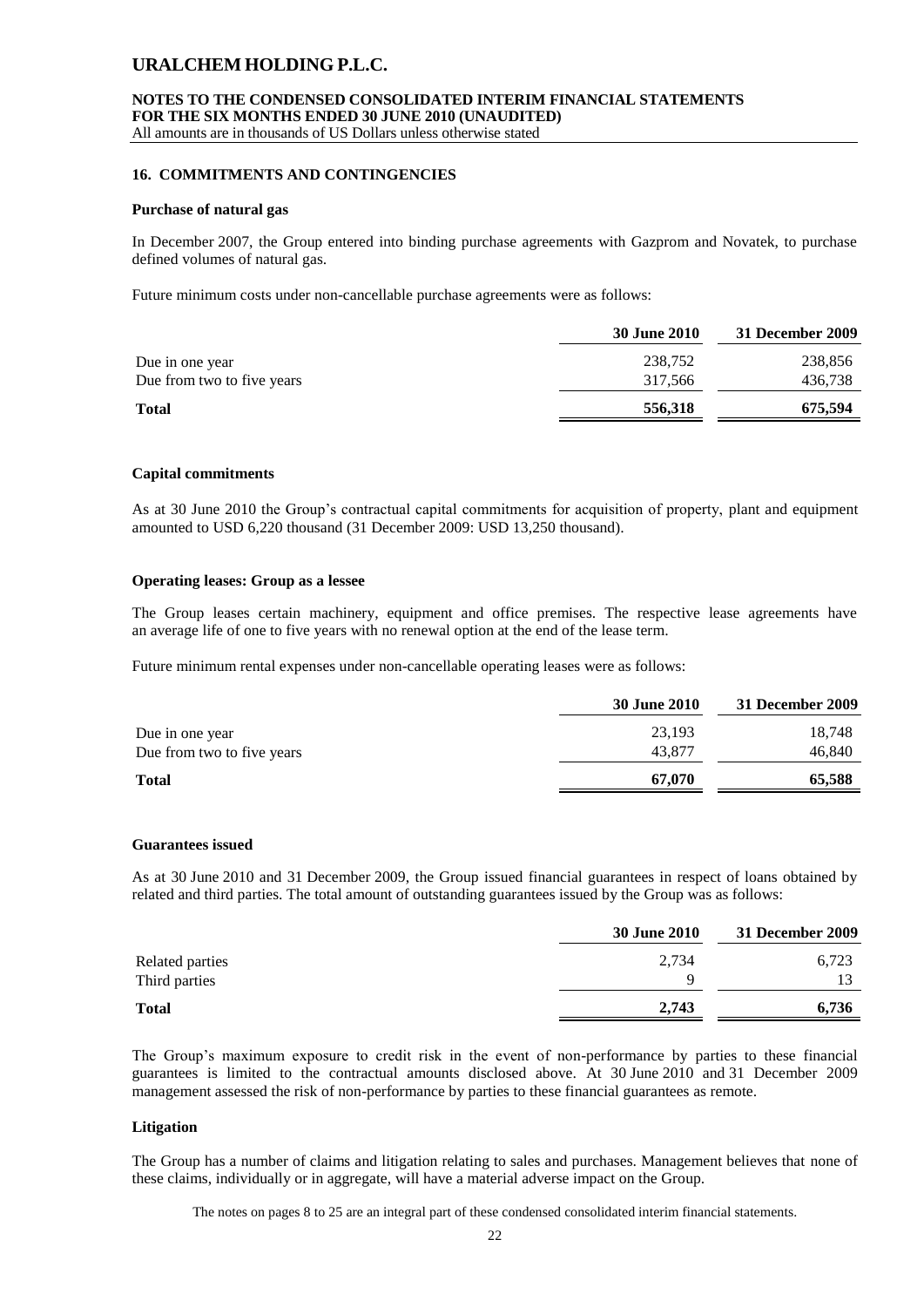All amounts are in thousands of US Dollars unless otherwise stated

### **16. COMMITMENTS AND CONTINGENCIES**

#### **Purchase of natural gas**

In December 2007, the Group entered into binding purchase agreements with Gazprom and Novatek, to purchase defined volumes of natural gas.

Future minimum costs under non-cancellable purchase agreements were as follows:

|                            | <b>30 June 2010</b> | 31 December 2009 |
|----------------------------|---------------------|------------------|
| Due in one year            | 238,752             | 238,856          |
| Due from two to five years | 317,566             | 436,738          |
| <b>Total</b>               | 556,318             | 675,594          |
|                            |                     |                  |

#### **Capital commitments**

As at 30 June 2010 the Group's contractual capital commitments for acquisition of property, plant and equipment amounted to USD 6,220 thousand (31 December 2009: USD 13,250 thousand).

#### **Operating leases: Group as a lessee**

The Group leases certain machinery, equipment and office premises. The respective lease agreements have an average life of one to five years with no renewal option at the end of the lease term.

Future minimum rental expenses under non-cancellable operating leases were as follows:

|                            | <b>30 June 2010</b> | 31 December 2009 |
|----------------------------|---------------------|------------------|
| Due in one year            | 23,193              | 18.748           |
| Due from two to five years | 43,877              | 46,840           |
| <b>Total</b>               | 67,070              | 65,588           |

### **Guarantees issued**

As at 30 June 2010 and 31 December 2009, the Group issued financial guarantees in respect of loans obtained by related and third parties. The total amount of outstanding guarantees issued by the Group was as follows:

|                 | <b>30 June 2010</b> | 31 December 2009 |
|-----------------|---------------------|------------------|
| Related parties | 2,734               | 6,723            |
| Third parties   |                     |                  |
| <b>Total</b>    | 2,743               | 6,736            |
|                 |                     |                  |

The Group's maximum exposure to credit risk in the event of non-performance by parties to these financial guarantees is limited to the contractual amounts disclosed above. At 30 June 2010 and 31 December 2009 management assessed the risk of non-performance by parties to these financial guarantees as remote.

#### **Litigation**

The Group has a number of claims and litigation relating to sales and purchases. Management believes that none of these claims, individually or in aggregate, will have a material adverse impact on the Group.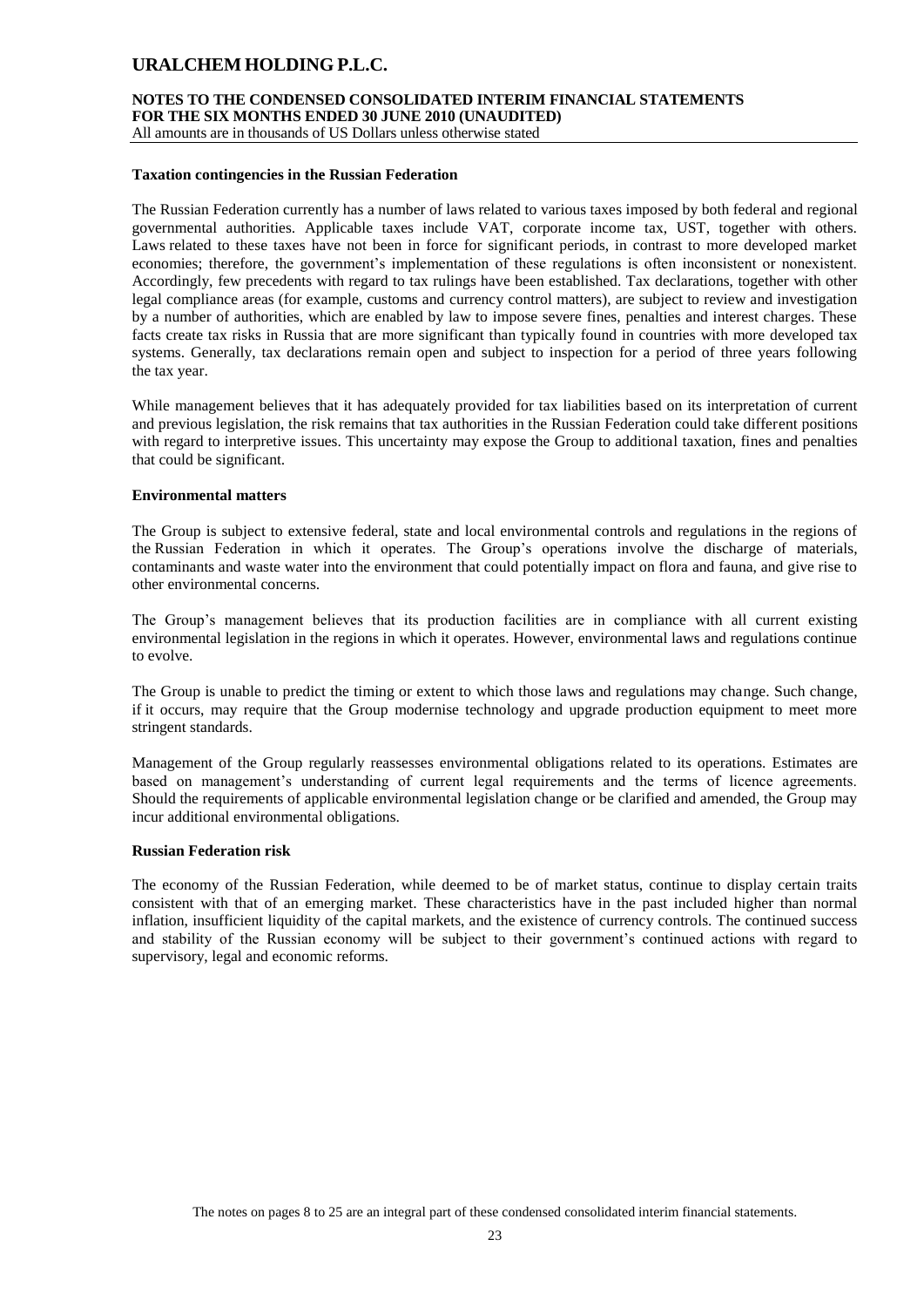# **NOTES TO THE CONDENSED CONSOLIDATED INTERIM FINANCIAL STATEMENTS FOR THE SIX MONTHS ENDED 30 JUNE 2010 (UNAUDITED)**

All amounts are in thousands of US Dollars unless otherwise stated

#### **Taxation contingencies in the Russian Federation**

The Russian Federation currently has a number of laws related to various taxes imposed by both federal and regional governmental authorities. Applicable taxes include VAT, corporate income tax, UST, together with others. Laws related to these taxes have not been in force for significant periods, in contrast to more developed market economies; therefore, the government's implementation of these regulations is often inconsistent or nonexistent. Accordingly, few precedents with regard to tax rulings have been established. Tax declarations, together with other legal compliance areas (for example, customs and currency control matters), are subject to review and investigation by a number of authorities, which are enabled by law to impose severe fines, penalties and interest charges. These facts create tax risks in Russia that are more significant than typically found in countries with more developed tax systems. Generally, tax declarations remain open and subject to inspection for a period of three years following the tax year.

While management believes that it has adequately provided for tax liabilities based on its interpretation of current and previous legislation, the risk remains that tax authorities in the Russian Federation could take different positions with regard to interpretive issues. This uncertainty may expose the Group to additional taxation, fines and penalties that could be significant.

#### **Environmental matters**

The Group is subject to extensive federal, state and local environmental controls and regulations in the regions of the Russian Federation in which it operates. The Group's operations involve the discharge of materials, contaminants and waste water into the environment that could potentially impact on flora and fauna, and give rise to other environmental concerns.

The Group's management believes that its production facilities are in compliance with all current existing environmental legislation in the regions in which it operates. However, environmental laws and regulations continue to evolve.

The Group is unable to predict the timing or extent to which those laws and regulations may change. Such change, if it occurs, may require that the Group modernise technology and upgrade production equipment to meet more stringent standards.

Management of the Group regularly reassesses environmental obligations related to its operations. Estimates are based on management's understanding of current legal requirements and the terms of licence agreements. Should the requirements of applicable environmental legislation change or be clarified and amended, the Group may incur additional environmental obligations.

### **Russian Federation risk**

The economy of the Russian Federation, while deemed to be of market status, continue to display certain traits consistent with that of an emerging market. These characteristics have in the past included higher than normal inflation, insufficient liquidity of the capital markets, and the existence of currency controls. The continued success and stability of the Russian economy will be subject to their government's continued actions with regard to supervisory, legal and economic reforms.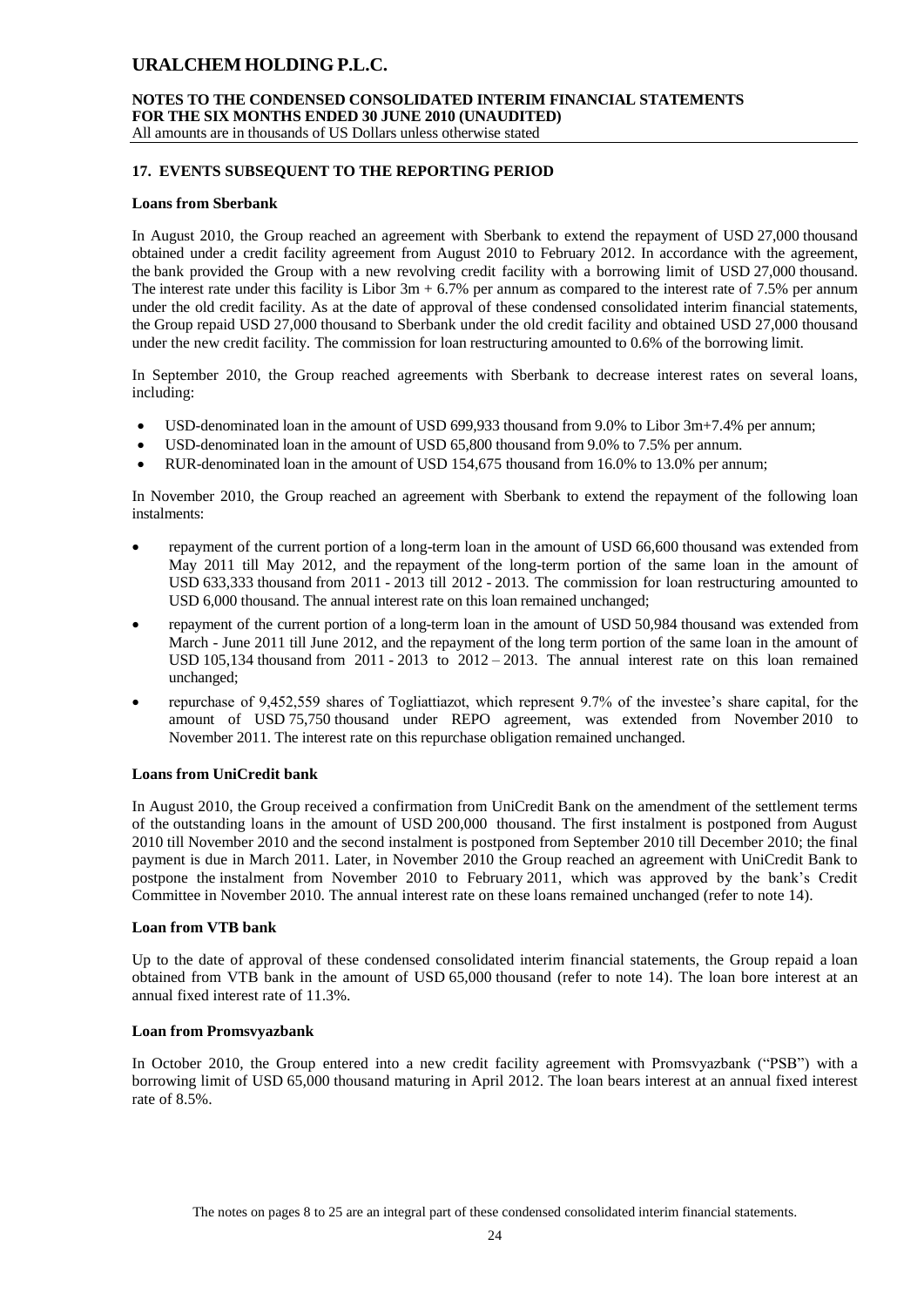# **NOTES TO THE CONDENSED CONSOLIDATED INTERIM FINANCIAL STATEMENTS FOR THE SIX MONTHS ENDED 30 JUNE 2010 (UNAUDITED)**

All amounts are in thousands of US Dollars unless otherwise stated

### **17. EVENTS SUBSEQUENT TO THE REPORTING PERIOD**

#### **Loans from Sberbank**

In August 2010, the Group reached an agreement with Sberbank to extend the repayment of USD 27,000 thousand obtained under a credit facility agreement from August 2010 to February 2012. In accordance with the agreement, the bank provided the Group with a new revolving credit facility with a borrowing limit of USD 27,000 thousand. The interest rate under this facility is Libor  $3m + 6.7\%$  per annum as compared to the interest rate of 7.5% per annum under the old credit facility. As at the date of approval of these condensed consolidated interim financial statements, the Group repaid USD 27,000 thousand to Sberbank under the old credit facility and obtained USD 27,000 thousand under the new credit facility. The commission for loan restructuring amounted to 0.6% of the borrowing limit.

In September 2010, the Group reached agreements with Sberbank to decrease interest rates on several loans, including:

- USD-denominated loan in the amount of USD 699,933 thousand from 9.0% to Libor 3m+7.4% per annum;
- USD-denominated loan in the amount of USD 65,800 thousand from 9.0% to 7.5% per annum.
- RUR-denominated loan in the amount of USD 154,675 thousand from 16.0% to 13.0% per annum;

In November 2010, the Group reached an agreement with Sberbank to extend the repayment of the following loan instalments:

- repayment of the current portion of a long-term loan in the amount of USD 66,600 thousand was extended from May 2011 till May 2012, and the repayment of the long-term portion of the same loan in the amount of USD 633,333 thousand from 2011 - 2013 till 2012 - 2013. The commission for loan restructuring amounted to USD 6,000 thousand. The annual interest rate on this loan remained unchanged;
- repayment of the current portion of a long-term loan in the amount of USD 50,984 thousand was extended from March - June 2011 till June 2012, and the repayment of the long term portion of the same loan in the amount of USD 105,134 thousand from  $2011 - 2013$  to  $2012 - 2013$ . The annual interest rate on this loan remained unchanged;
- repurchase of 9,452,559 shares of Togliattiazot, which represent 9.7% of the investee's share capital, for the amount of USD 75,750 thousand under REPO agreement, was extended from November 2010 to November 2011. The interest rate on this repurchase obligation remained unchanged.

### **Loans from UniCredit bank**

In August 2010, the Group received a confirmation from UniCredit Bank on the amendment of the settlement terms of the outstanding loans in the amount of USD 200,000 thousand. The first instalment is postponed from August 2010 till November 2010 and the second instalment is postponed from September 2010 till December 2010; the final payment is due in March 2011. Later, in November 2010 the Group reached an agreement with UniCredit Bank to postpone the instalment from November 2010 to February 2011, which was approved by the bank's Credit Committee in November 2010. The annual interest rate on these loans remained unchanged (refer to note 14).

### **Loan from VTB bank**

Up to the date of approval of these condensed consolidated interim financial statements, the Group repaid a loan obtained from VTB bank in the amount of USD 65,000 thousand (refer to note 14). The loan bore interest at an annual fixed interest rate of 11.3%.

#### **Loan from Promsvyazbank**

In October 2010, the Group entered into a new credit facility agreement with Promsvyazbank ("PSB") with a borrowing limit of USD 65,000 thousand maturing in April 2012. The loan bears interest at an annual fixed interest rate of 8.5%.